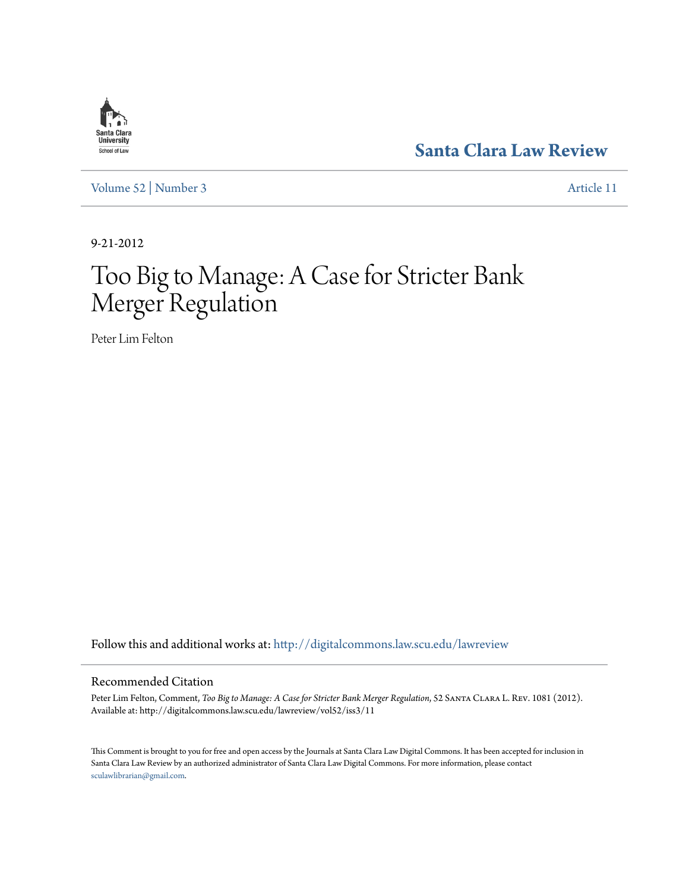

**[Santa Clara Law Review](http://digitalcommons.law.scu.edu/lawreview?utm_source=digitalcommons.law.scu.edu%2Flawreview%2Fvol52%2Fiss3%2F11&utm_medium=PDF&utm_campaign=PDFCoverPages)**

[Volume 52](http://digitalcommons.law.scu.edu/lawreview/vol52?utm_source=digitalcommons.law.scu.edu%2Flawreview%2Fvol52%2Fiss3%2F11&utm_medium=PDF&utm_campaign=PDFCoverPages) | [Number 3](http://digitalcommons.law.scu.edu/lawreview/vol52/iss3?utm_source=digitalcommons.law.scu.edu%2Flawreview%2Fvol52%2Fiss3%2F11&utm_medium=PDF&utm_campaign=PDFCoverPages) [Article 11](http://digitalcommons.law.scu.edu/lawreview/vol52/iss3/11?utm_source=digitalcommons.law.scu.edu%2Flawreview%2Fvol52%2Fiss3%2F11&utm_medium=PDF&utm_campaign=PDFCoverPages)

9-21-2012

# Too Big to Manage: A Case for Stricter Bank Merger Regulation

Peter Lim Felton

Follow this and additional works at: [http://digitalcommons.law.scu.edu/lawreview](http://digitalcommons.law.scu.edu/lawreview?utm_source=digitalcommons.law.scu.edu%2Flawreview%2Fvol52%2Fiss3%2F11&utm_medium=PDF&utm_campaign=PDFCoverPages)

# Recommended Citation

Peter Lim Felton, Comment, *Too Big to Manage: A Case for Stricter Bank Merger Regulation*, 52 Santa Clara L. Rev. 1081 (2012). Available at: http://digitalcommons.law.scu.edu/lawreview/vol52/iss3/11

This Comment is brought to you for free and open access by the Journals at Santa Clara Law Digital Commons. It has been accepted for inclusion in Santa Clara Law Review by an authorized administrator of Santa Clara Law Digital Commons. For more information, please contact [sculawlibrarian@gmail.com](mailto:sculawlibrarian@gmail.com).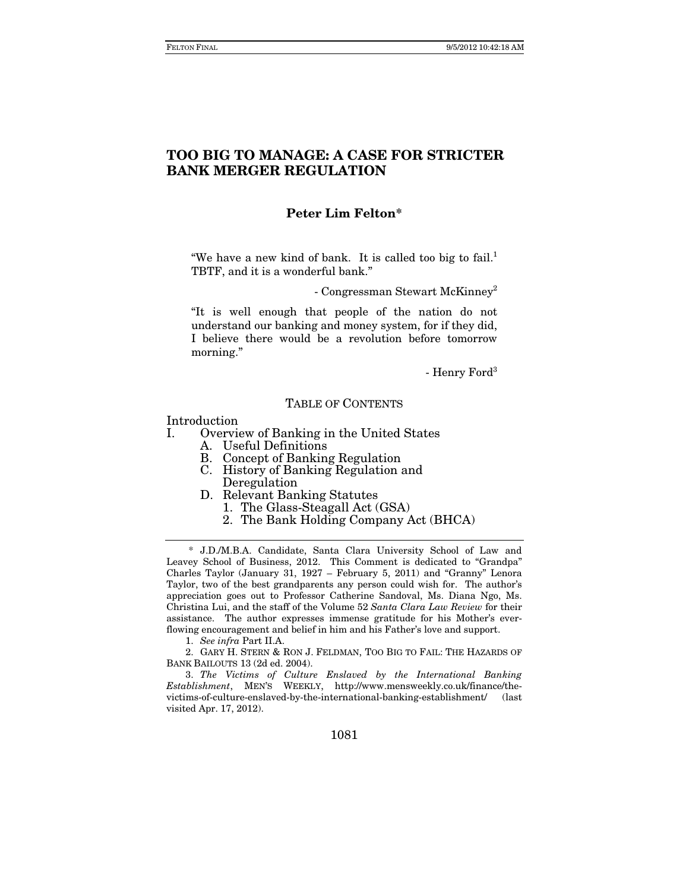# **TOO BIG TO MANAGE: A CASE FOR STRICTER BANK MERGER REGULATION**

# **Peter Lim Felton\***

"We have a new kind of bank. It is called too big to fail. $1$ TBTF, and it is a wonderful bank."

- Congressman Stewart McKinney2

"It is well enough that people of the nation do not understand our banking and money system, for if they did, I believe there would be a revolution before tomorrow morning."

- Henry Ford<sup>3</sup>

#### TABLE OF CONTENTS

Introduction

I. Overview of Banking in the United States

- A. Useful Definitions
- B. Concept of Banking Regulation
- C. History of Banking Regulation and Deregulation
- D. Relevant Banking Statutes
	- 1. The Glass-Steagall Act (GSA)
	- 2. The Bank Holding Company Act (BHCA)

 \* J.D./M.B.A. Candidate, Santa Clara University School of Law and Leavey School of Business, 2012. This Comment is dedicated to "Grandpa" Charles Taylor (January 31, 1927 – February 5, 2011) and "Granny" Lenora Taylor, two of the best grandparents any person could wish for. The author's appreciation goes out to Professor Catherine Sandoval, Ms. Diana Ngo, Ms. Christina Lui, and the staff of the Volume 52 *Santa Clara Law Review* for their assistance. The author expresses immense gratitude for his Mother's everflowing encouragement and belief in him and his Father's love and support.

 2. GARY H. STERN & RON J. FELDMAN, TOO BIG TO FAIL: THE HAZARDS OF BANK BAILOUTS 13 (2d ed. 2004).

3. *The Victims of Culture Enslaved by the International Banking Establishment*, MEN'S WEEKLY, http://www.mensweekly.co.uk/finance/thevictims-of-culture-enslaved-by-the-international-banking-establishment/ (last visited Apr. 17, 2012).

<sup>1.</sup> *See infra* Part II.A.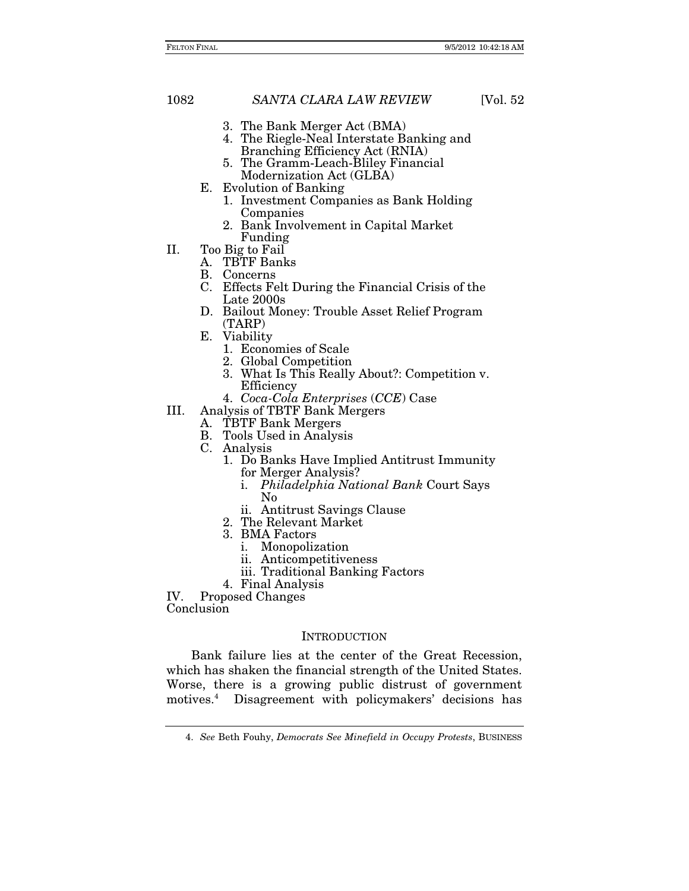- 3. The Bank Merger Act (BMA)
- 4. The Riegle-Neal Interstate Banking and Branching Efficiency Act (RNIA)
- 5. The Gramm-Leach-Bliley Financial Modernization Act (GLBA)
- E. Evolution of Banking
	- 1. Investment Companies as Bank Holding Companies
	- 2. Bank Involvement in Capital Market Funding
- II. Too Big to Fail
	- A. TBTF Banks
	- B. Concerns
	- C. Effects Felt During the Financial Crisis of the Late 2000s
	- D. Bailout Money: Trouble Asset Relief Program (TARP)
	- E. Viability
		- 1. Economies of Scale
		- 2. Global Competition
		- 3. What Is This Really About?: Competition v. Efficiency
		- 4. *Coca-Cola Enterprises* (*CCE*) Case
- III. Analysis of TBTF Bank Mergers
	- A. TBTF Bank Mergers
	- B. Tools Used in Analysis
	- C. Analysis
		- 1. Do Banks Have Implied Antitrust Immunity for Merger Analysis?
			- i. *Philadelphia National Bank* Court Says No
			- ii. Antitrust Savings Clause
		- 2. The Relevant Market
		- 3. BMA Factors
			- i. Monopolization
			- ii. Anticompetitiveness
			- iii. Traditional Banking Factors
		- 4. Final Analysis

IV. Proposed Changes

Conclusion

## **INTRODUCTION**

Bank failure lies at the center of the Great Recession, which has shaken the financial strength of the United States. Worse, there is a growing public distrust of government motives.4 Disagreement with policymakers' decisions has

<sup>4.</sup> *See* Beth Fouhy, *Democrats See Minefield in Occupy Protests*, BUSINESS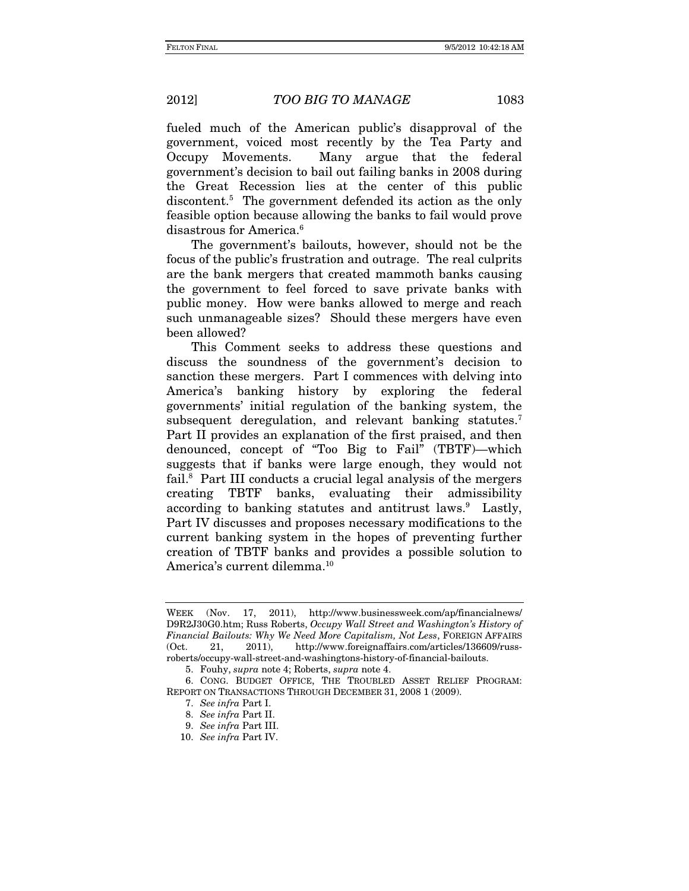fueled much of the American public's disapproval of the government, voiced most recently by the Tea Party and Occupy Movements. Many argue that the federal government's decision to bail out failing banks in 2008 during the Great Recession lies at the center of this public discontent.5 The government defended its action as the only feasible option because allowing the banks to fail would prove disastrous for America.<sup>6</sup>

The government's bailouts, however, should not be the focus of the public's frustration and outrage. The real culprits are the bank mergers that created mammoth banks causing the government to feel forced to save private banks with public money. How were banks allowed to merge and reach such unmanageable sizes? Should these mergers have even been allowed?

This Comment seeks to address these questions and discuss the soundness of the government's decision to sanction these mergers. Part I commences with delving into America's banking history by exploring the federal governments' initial regulation of the banking system, the subsequent deregulation, and relevant banking statutes.<sup>7</sup> Part II provides an explanation of the first praised, and then denounced, concept of "Too Big to Fail" (TBTF)—which suggests that if banks were large enough, they would not fail.<sup>8</sup> Part III conducts a crucial legal analysis of the mergers creating TBTF banks, evaluating their admissibility according to banking statutes and antitrust laws.<sup>9</sup> Lastly, Part IV discusses and proposes necessary modifications to the current banking system in the hopes of preventing further creation of TBTF banks and provides a possible solution to America's current dilemma.<sup>10</sup>

WEEK (Nov. 17, 2011), http://www.businessweek.com/ap/financialnews/ D9R2J30G0.htm; Russ Roberts, *Occupy Wall Street and Washington's History of Financial Bailouts: Why We Need More Capitalism, Not Less*, FOREIGN AFFAIRS (Oct. 21, 2011), http://www.foreignaffairs.com/articles/136609/russroberts/occupy-wall-street-and-washingtons-history-of-financial-bailouts.

<sup>5.</sup> Fouhy, *supra* note 4; Roberts, *supra* note 4.

 <sup>6.</sup> CONG. BUDGET OFFICE, THE TROUBLED ASSET RELIEF PROGRAM: REPORT ON TRANSACTIONS THROUGH DECEMBER 31, 2008 1 (2009).

<sup>7.</sup> *See infra* Part I.

<sup>8.</sup> *See infra* Part II.

<sup>9.</sup> *See infra* Part III.

<sup>10.</sup> *See infra* Part IV.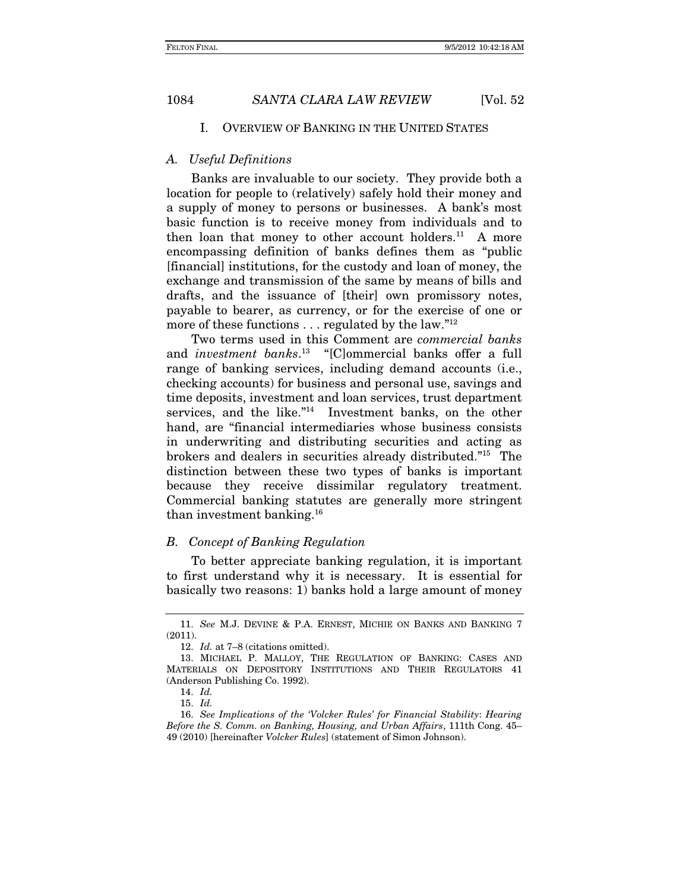#### I. OVERVIEW OF BANKING IN THE UNITED STATES

### *A. Useful Definitions*

Banks are invaluable to our society. They provide both a location for people to (relatively) safely hold their money and a supply of money to persons or businesses. A bank's most basic function is to receive money from individuals and to then loan that money to other account holders.<sup>11</sup> A more encompassing definition of banks defines them as "public [financial] institutions, for the custody and loan of money, the exchange and transmission of the same by means of bills and drafts, and the issuance of [their] own promissory notes, payable to bearer, as currency, or for the exercise of one or more of these functions . . . regulated by the law."12

Two terms used in this Comment are *commercial banks* and *investment banks*. 13 "[C]ommercial banks offer a full range of banking services, including demand accounts (i.e., checking accounts) for business and personal use, savings and time deposits, investment and loan services, trust department services, and the like."14 Investment banks, on the other hand, are "financial intermediaries whose business consists in underwriting and distributing securities and acting as brokers and dealers in securities already distributed."15 The distinction between these two types of banks is important because they receive dissimilar regulatory treatment. Commercial banking statutes are generally more stringent than investment banking.16

### *B. Concept of Banking Regulation*

To better appreciate banking regulation, it is important to first understand why it is necessary.It is essential for basically two reasons: 1) banks hold a large amount of money

<sup>11.</sup> *See* M.J. DEVINE & P.A. ERNEST, MICHIE ON BANKS AND BANKING 7 (2011).

<sup>12.</sup> *Id.* at 7–8 (citations omitted).

 <sup>13.</sup> MICHAEL P. MALLOY, THE REGULATION OF BANKING: CASES AND MATERIALS ON DEPOSITORY INSTITUTIONS AND THEIR REGULATORS 41 (Anderson Publishing Co. 1992).

 <sup>14.</sup> *Id.*

<sup>15.</sup> *Id.*

<sup>16.</sup> *See Implications of the 'Volcker Rules' for Financial Stability*: *Hearing Before the S. Comm. on Banking, Housing, and Urban Affairs*, 111th Cong. 45– 49 (2010) [hereinafter *Volcker Rules*] (statement of Simon Johnson).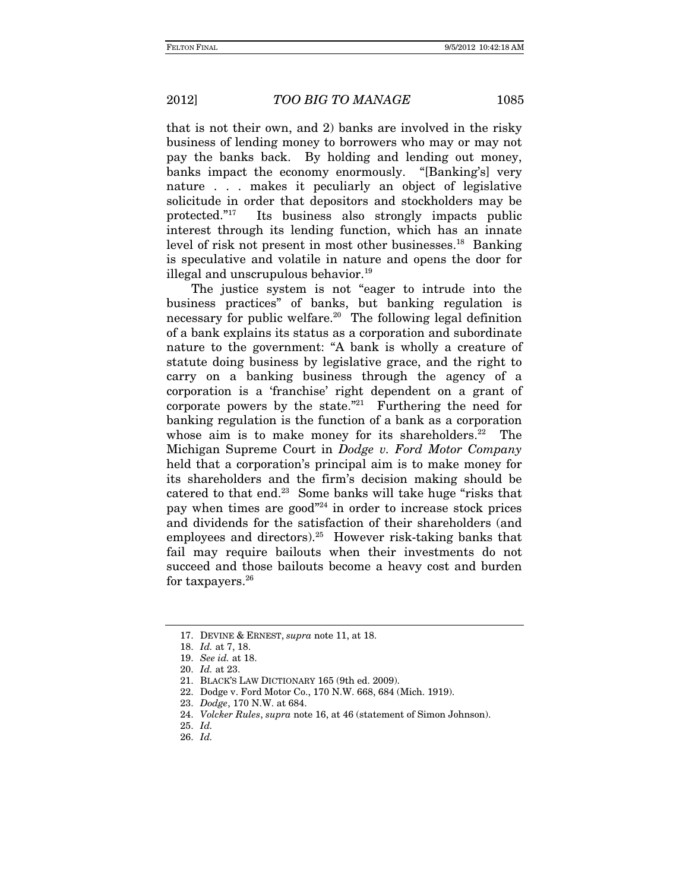that is not their own, and 2) banks are involved in the risky business of lending money to borrowers who may or may not pay the banks back.By holding and lending out money, banks impact the economy enormously. "[Banking's] very nature . . . makes it peculiarly an object of legislative solicitude in order that depositors and stockholders may be protected."17 Its business also strongly impacts public interest through its lending function, which has an innate level of risk not present in most other businesses.18 Banking is speculative and volatile in nature and opens the door for illegal and unscrupulous behavior.<sup>19</sup>

The justice system is not "eager to intrude into the business practices" of banks, but banking regulation is necessary for public welfare.20 The following legal definition of a bank explains its status as a corporation and subordinate nature to the government: "A bank is wholly a creature of statute doing business by legislative grace, and the right to carry on a banking business through the agency of a corporation is a 'franchise' right dependent on a grant of corporate powers by the state. $2^{21}$  Furthering the need for banking regulation is the function of a bank as a corporation whose aim is to make money for its shareholders.<sup>22</sup> The Michigan Supreme Court in *Dodge v. Ford Motor Company* held that a corporation's principal aim is to make money for its shareholders and the firm's decision making should be catered to that end.23 Some banks will take huge "risks that pay when times are good"24 in order to increase stock prices and dividends for the satisfaction of their shareholders (and employees and directors).<sup>25</sup> However risk-taking banks that fail may require bailouts when their investments do not succeed and those bailouts become a heavy cost and burden for taxpayers.<sup>26</sup>

 <sup>17.</sup> DEVINE & ERNEST, *supra* note 11, at 18.

<sup>18.</sup> *Id.* at 7, 18.

<sup>19.</sup> *See id.* at 18.

 <sup>20.</sup> *Id.* at 23.

 <sup>21.</sup> BLACK'S LAW DICTIONARY 165 (9th ed. 2009).

 <sup>22.</sup> Dodge v. Ford Motor Co., 170 N.W. 668, 684 (Mich. 1919).

 <sup>23.</sup> *Dodge*, 170 N.W. at 684.

 <sup>24.</sup> *Volcker Rules*, *supra* note 16, at 46 (statement of Simon Johnson).

<sup>25.</sup> *Id.*

<sup>26.</sup> *Id.*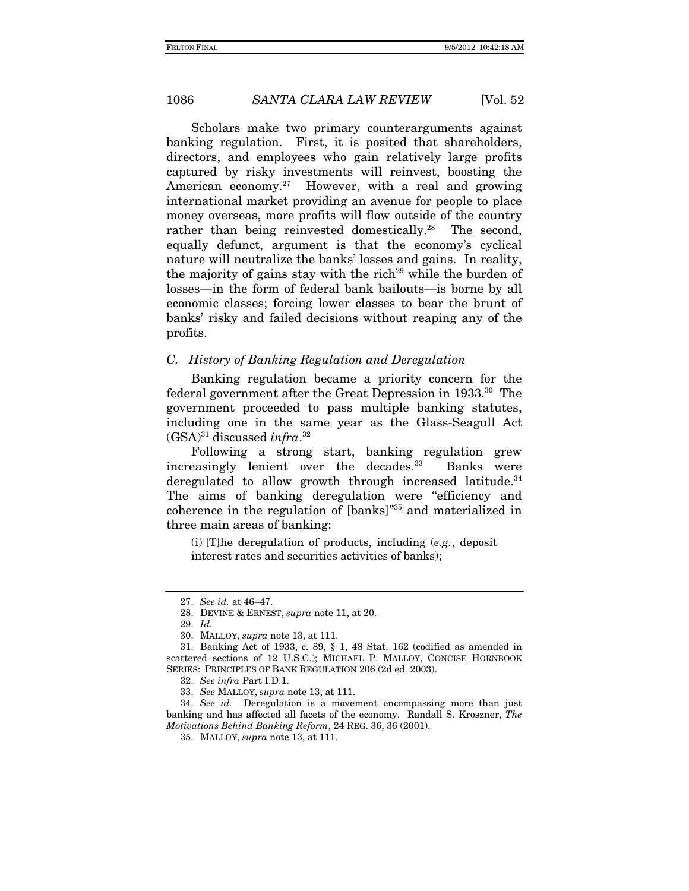Scholars make two primary counterarguments against banking regulation. First, it is posited that shareholders, directors, and employees who gain relatively large profits captured by risky investments will reinvest, boosting the American economy.<sup>27</sup> However, with a real and growing international market providing an avenue for people to place money overseas, more profits will flow outside of the country rather than being reinvested domestically.<sup>28</sup> The second, equally defunct, argument is that the economy's cyclical nature will neutralize the banks' losses and gains. In reality, the majority of gains stay with the rich<sup>29</sup> while the burden of losses—in the form of federal bank bailouts—is borne by all economic classes; forcing lower classes to bear the brunt of banks' risky and failed decisions without reaping any of the profits.

#### *C. History of Banking Regulation and Deregulation*

Banking regulation became a priority concern for the federal government after the Great Depression in 1933.30 The government proceeded to pass multiple banking statutes, including one in the same year as the Glass-Seagull Act (GSA)31 discussed *infra*. 32

Following a strong start, banking regulation grew increasingly lenient over the decades.<sup>33</sup> Banks were deregulated to allow growth through increased latitude.<sup>34</sup> The aims of banking deregulation were "efficiency and coherence in the regulation of [banks]"35 and materialized in three main areas of banking:

(i) [T]he deregulation of products, including (*e.g.*, deposit interest rates and securities activities of banks);

34. *See id.* Deregulation is a movement encompassing more than just banking and has affected all facets of the economy. Randall S. Kroszner, *The Motivations Behind Banking Reform*, 24 REG. 36, 36 (2001).

<sup>27.</sup> *See id.* at 46–47.

 <sup>28.</sup> DEVINE & ERNEST, *supra* note 11, at 20.

 <sup>29.</sup> *Id.*

 <sup>30.</sup> MALLOY, *supra* note 13, at 111.

 <sup>31.</sup> Banking Act of 1933, c. 89, § 1, 48 Stat. 162 (codified as amended in scattered sections of 12 U.S.C.); MICHAEL P. MALLOY, CONCISE HORNBOOK SERIES: PRINCIPLES OF BANK REGULATION 206 (2d ed. 2003).

<sup>32.</sup> *See infra* Part I.D.1.

<sup>33.</sup> *See* MALLOY, *supra* note 13, at 111.

<sup>35.</sup> MALLOY, *supra* note 13, at 111.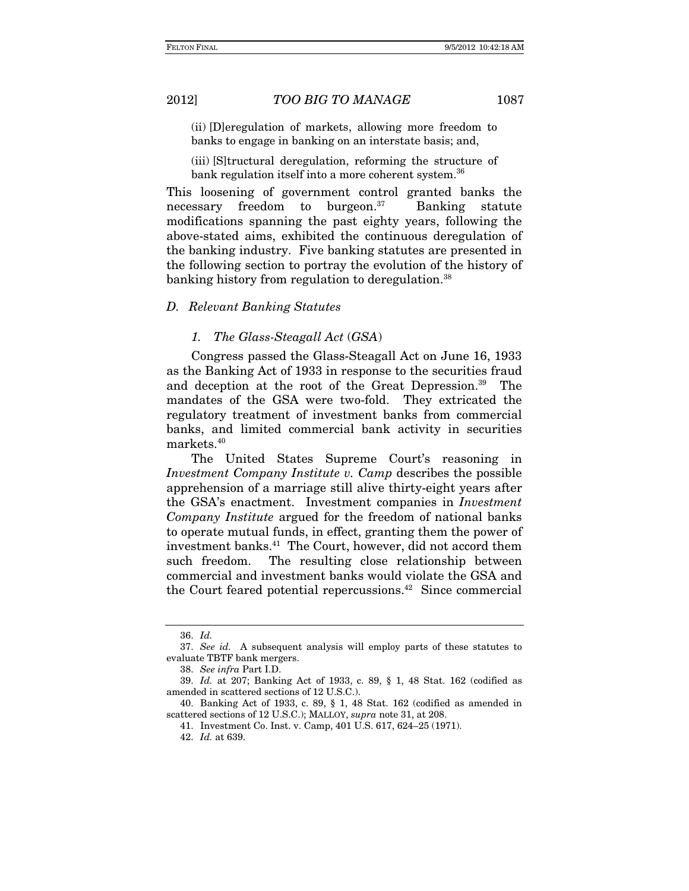(ii) [D]eregulation of markets, allowing more freedom to banks to engage in banking on an interstate basis; and,

(iii) [S]tructural deregulation, reforming the structure of bank regulation itself into a more coherent system.<sup>36</sup>

This loosening of government control granted banks the necessary freedom to burgeon. $37$  Banking statute modifications spanning the past eighty years, following the above-stated aims, exhibited the continuous deregulation of the banking industry. Five banking statutes are presented in the following section to portray the evolution of the history of banking history from regulation to deregulation.<sup>38</sup>

### *D. Relevant Banking Statutes*

#### *1. The Glass-Steagall Act* (*GSA*)

Congress passed the Glass-Steagall Act on June 16, 1933 as the Banking Act of 1933 in response to the securities fraud and deception at the root of the Great Depression.<sup>39</sup> The mandates of the GSA were two-fold. They extricated the regulatory treatment of investment banks from commercial banks, and limited commercial bank activity in securities markets.40

The United States Supreme Court's reasoning in *Investment Company Institute v. Camp* describes the possible apprehension of a marriage still alive thirty-eight years after the GSA's enactment. Investment companies in *Investment Company Institute* argued for the freedom of national banks to operate mutual funds, in effect, granting them the power of investment banks.<sup>41</sup> The Court, however, did not accord them such freedom. The resulting close relationship between commercial and investment banks would violate the GSA and the Court feared potential repercussions.<sup> $42$ </sup> Since commercial

<sup>36.</sup> *Id.*

<sup>37.</sup> *See id.* A subsequent analysis will employ parts of these statutes to evaluate TBTF bank mergers.

<sup>38.</sup> *See infra* Part I.D.

<sup>39.</sup> *Id.* at 207; Banking Act of 1933, c. 89, § 1, 48 Stat. 162 (codified as amended in scattered sections of 12 U.S.C.).

 <sup>40.</sup> Banking Act of 1933, c. 89, § 1, 48 Stat. 162 (codified as amended in scattered sections of 12 U.S.C.); MALLOY, *supra* note 31, at 208.

 <sup>41.</sup> Investment Co. Inst. v. Camp, 401 U.S. 617, 624–25 (1971).

<sup>42.</sup> *Id.* at 639.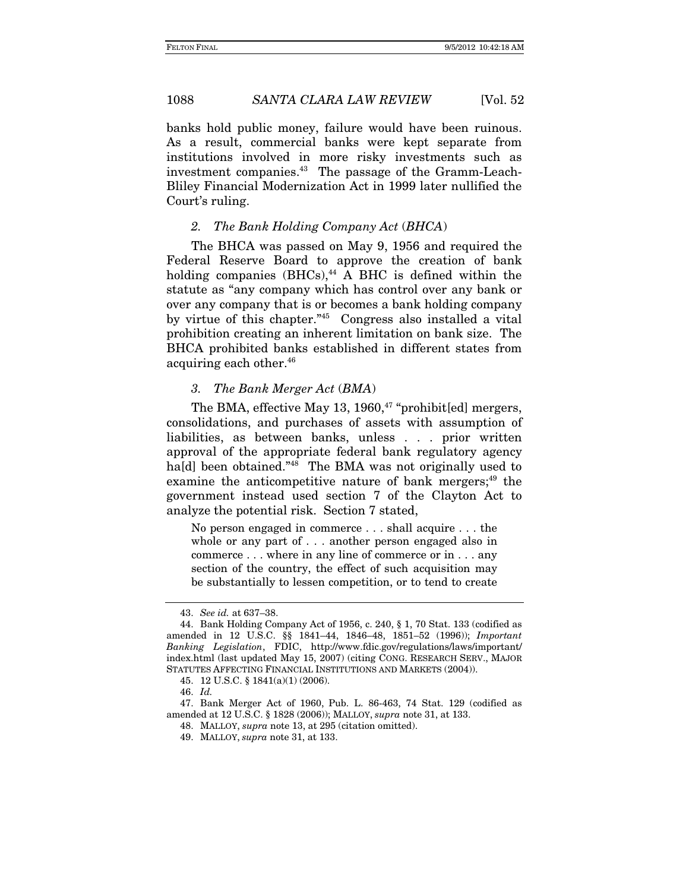banks hold public money, failure would have been ruinous. As a result, commercial banks were kept separate from institutions involved in more risky investments such as investment companies.<sup>43</sup> The passage of the Gramm-Leach-Bliley Financial Modernization Act in 1999 later nullified the Court's ruling.

#### *2. The Bank Holding Company Act* (*BHCA*)

The BHCA was passed on May 9, 1956 and required the Federal Reserve Board to approve the creation of bank holding companies  $(BHCs)$ ,<sup>44</sup> A BHC is defined within the statute as "any company which has control over any bank or over any company that is or becomes a bank holding company by virtue of this chapter."45 Congress also installed a vital prohibition creating an inherent limitation on bank size. The BHCA prohibited banks established in different states from acquiring each other.46

### *3. The Bank Merger Act* (*BMA*)

The BMA, effective May 13, 1960, $47$  "prohibit[ed] mergers, consolidations, and purchases of assets with assumption of liabilities, as between banks, unless . . . prior written approval of the appropriate federal bank regulatory agency ha<sup>[d]</sup> been obtained."<sup>48</sup> The BMA was not originally used to examine the anticompetitive nature of bank mergers;<sup>49</sup> the government instead used section 7 of the Clayton Act to analyze the potential risk. Section 7 stated,

No person engaged in commerce . . . shall acquire . . . the whole or any part of . . . another person engaged also in commerce . . . where in any line of commerce or in . . . any section of the country, the effect of such acquisition may be substantially to lessen competition, or to tend to create

<sup>43.</sup> *See id.* at 637–38.

<sup>44.</sup> Bank Holding Company Act of 1956, c. 240, § 1, 70 Stat. 133 (codified as amended in 12 U.S.C. §§ 1841–44, 1846–48, 1851–52 (1996)); *Important Banking Legislation*, FDIC, http://www.fdic.gov/regulations/laws/important/ index.html (last updated May 15, 2007) (citing CONG. RESEARCH SERV., MAJOR STATUTES AFFECTING FINANCIAL INSTITUTIONS AND MARKETS (2004)).

 <sup>45. 12</sup> U.S.C. § 1841(a)(1) (2006).

<sup>46.</sup> *Id.*

 <sup>47.</sup> Bank Merger Act of 1960, Pub. L. 86-463, 74 Stat. 129 (codified as amended at 12 U.S.C. § 1828 (2006)); MALLOY, *supra* note 31, at 133.

 <sup>48.</sup> MALLOY, *supra* note 13, at 295 (citation omitted).

 <sup>49.</sup> MALLOY, *supra* note 31, at 133.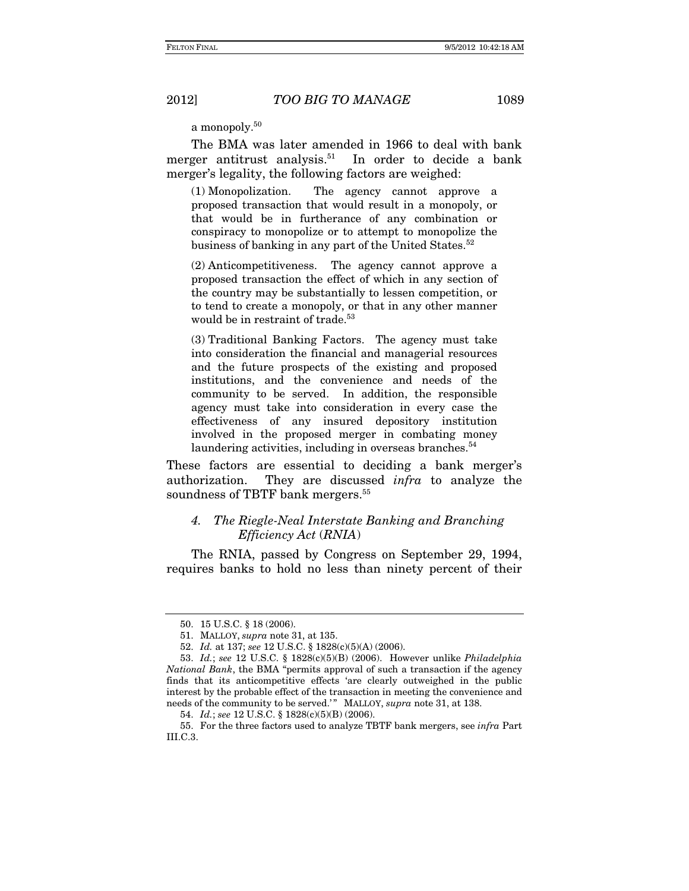a monopoly.<sup>50</sup>

The BMA was later amended in 1966 to deal with bank merger antitrust analysis.<sup>51</sup> In order to decide a bank merger's legality, the following factors are weighed:

(1) Monopolization. The agency cannot approve a proposed transaction that would result in a monopoly, or that would be in furtherance of any combination or conspiracy to monopolize or to attempt to monopolize the business of banking in any part of the United States.<sup>52</sup>

(2) Anticompetitiveness. The agency cannot approve a proposed transaction the effect of which in any section of the country may be substantially to lessen competition, or to tend to create a monopoly, or that in any other manner would be in restraint of trade.<sup>53</sup>

(3) Traditional Banking Factors. The agency must take into consideration the financial and managerial resources and the future prospects of the existing and proposed institutions, and the convenience and needs of the community to be served. In addition, the responsible agency must take into consideration in every case the effectiveness of any insured depository institution involved in the proposed merger in combating money laundering activities, including in overseas branches. $54$ 

These factors are essential to deciding a bank merger's authorization. They are discussed *infra* to analyze the soundness of TBTF bank mergers.<sup>55</sup>

# *4. The Riegle-Neal Interstate Banking and Branching Efficiency Act* (*RNIA*)

The RNIA, passed by Congress on September 29, 1994, requires banks to hold no less than ninety percent of their

 <sup>50. 15</sup> U.S.C. § 18 (2006).

 <sup>51.</sup> MALLOY, *supra* note 31, at 135.

 <sup>52.</sup> *Id.* at 137; *see* 12 U.S.C. § 1828(c)(5)(A) (2006).

 <sup>53.</sup> *Id.*; *see* 12 U.S.C. § 1828(c)(5)(B) (2006). However unlike *Philadelphia National Bank*, the BMA "permits approval of such a transaction if the agency finds that its anticompetitive effects 'are clearly outweighed in the public interest by the probable effect of the transaction in meeting the convenience and needs of the community to be served.'" MALLOY, *supra* note 31, at 138.

 <sup>54.</sup> *Id.*; *see* 12 U.S.C. § 1828(c)(5)(B) (2006).

 <sup>55.</sup> For the three factors used to analyze TBTF bank mergers, see *infra* Part III.C.3.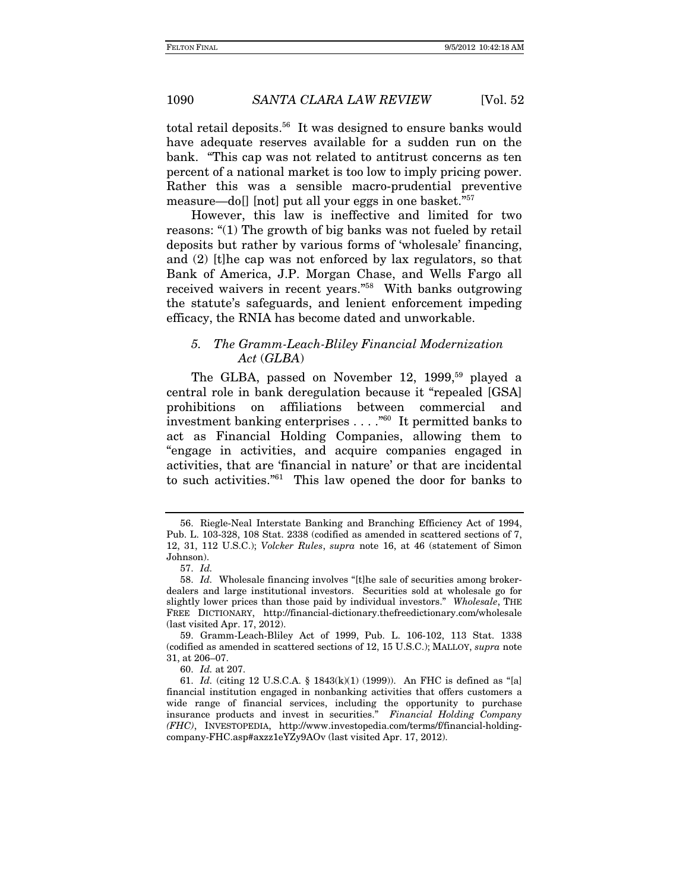total retail deposits.<sup>56</sup> It was designed to ensure banks would have adequate reserves available for a sudden run on the bank. "This cap was not related to antitrust concerns as ten percent of a national market is too low to imply pricing power. Rather this was a sensible macro-prudential preventive measure—do[] [not] put all your eggs in one basket."57

However, this law is ineffective and limited for two reasons: "(1) The growth of big banks was not fueled by retail deposits but rather by various forms of 'wholesale' financing, and (2) [t]he cap was not enforced by lax regulators, so that Bank of America, J.P. Morgan Chase, and Wells Fargo all received waivers in recent years."58 With banks outgrowing the statute's safeguards, and lenient enforcement impeding efficacy, the RNIA has become dated and unworkable.

# *5. The Gramm-Leach-Bliley Financial Modernization Act* (*GLBA*)

The GLBA, passed on November 12, 1999,<sup>59</sup> played a central role in bank deregulation because it "repealed [GSA] prohibitions on affiliations between commercial and investment banking enterprises . . . ."60 It permitted banks to act as Financial Holding Companies, allowing them to "engage in activities, and acquire companies engaged in activities, that are 'financial in nature' or that are incidental to such activities."61 This law opened the door for banks to

<sup>56.</sup> Riegle-Neal Interstate Banking and Branching Efficiency Act of 1994, Pub. L. 103-328, 108 Stat. 2338 (codified as amended in scattered sections of 7, 12, 31, 112 U.S.C.); *Volcker Rules*, *supra* note 16, at 46 (statement of Simon Johnson).

<sup>57.</sup> *Id.*

<sup>58.</sup> *Id.* Wholesale financing involves "[t]he sale of securities among brokerdealers and large institutional investors. Securities sold at wholesale go for slightly lower prices than those paid by individual investors." *Wholesale*, THE FREE DICTIONARY, http://financial-dictionary.thefreedictionary.com/wholesale (last visited Apr. 17, 2012).

 <sup>59.</sup> Gramm-Leach-Bliley Act of 1999, Pub. L. 106-102, 113 Stat. 1338 (codified as amended in scattered sections of 12, 15 U.S.C.); MALLOY, *supra* note 31, at 206–07.

<sup>60.</sup> *Id.* at 207.

<sup>61.</sup> *Id.* (citing 12 U.S.C.A. § 1843(k)(1) (1999)). An FHC is defined as "[a] financial institution engaged in nonbanking activities that offers customers a wide range of financial services, including the opportunity to purchase insurance products and invest in securities." *Financial Holding Company (FHC)*, INVESTOPEDIA, http://www.investopedia.com/terms/f/financial-holdingcompany-FHC.asp#axzz1eYZy9AOv (last visited Apr. 17, 2012).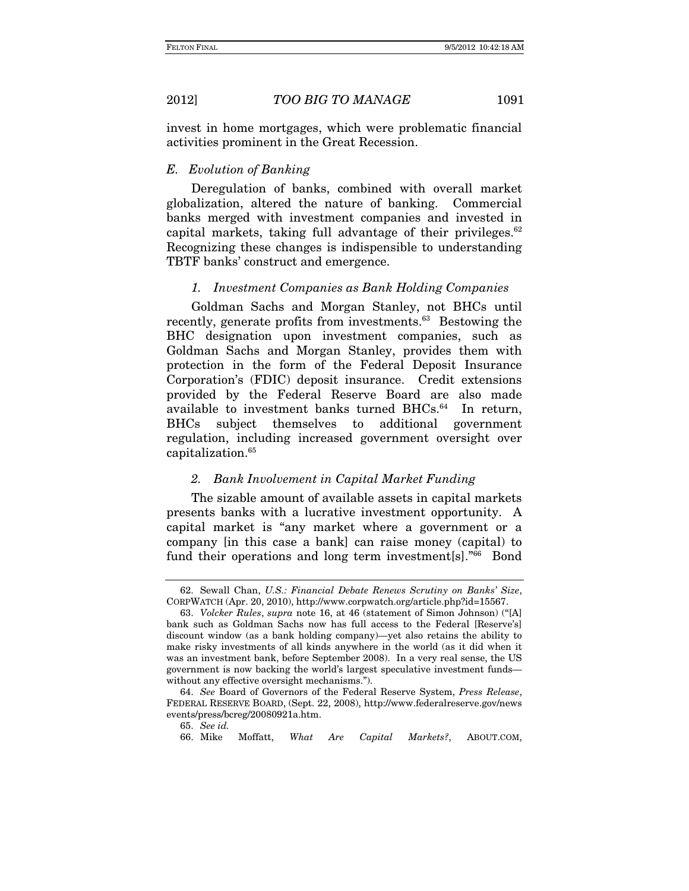invest in home mortgages, which were problematic financial activities prominent in the Great Recession.

## *E. Evolution of Banking*

Deregulation of banks, combined with overall market globalization, altered the nature of banking. Commercial banks merged with investment companies and invested in capital markets, taking full advantage of their privileges. $62$ Recognizing these changes is indispensible to understanding TBTF banks' construct and emergence.

# *1. Investment Companies as Bank Holding Companies*

Goldman Sachs and Morgan Stanley, not BHCs until recently, generate profits from investments.<sup>63</sup> Bestowing the BHC designation upon investment companies, such as Goldman Sachs and Morgan Stanley, provides them with protection in the form of the Federal Deposit Insurance Corporation's (FDIC) deposit insurance. Credit extensions provided by the Federal Reserve Board are also made available to investment banks turned BHCs.<sup>64</sup> In return, BHCs subject themselves to additional government regulation, including increased government oversight over capitalization.65

# *2. Bank Involvement in Capital Market Funding*

The sizable amount of available assets in capital markets presents banks with a lucrative investment opportunity. A capital market is "any market where a government or a company [in this case a bank] can raise money (capital) to fund their operations and long term investment[s]."<sup>66</sup> Bond

 <sup>62.</sup> Sewall Chan, *U.S.: Financial Debate Renews Scrutiny on Banks' Size*, CORPWATCH (Apr. 20, 2010), http://www.corpwatch.org/article.php?id=15567.

<sup>63.</sup> *Volcker Rules*, *supra* note 16, at 46 (statement of Simon Johnson) ("[A] bank such as Goldman Sachs now has full access to the Federal [Reserve's] discount window (as a bank holding company)—yet also retains the ability to make risky investments of all kinds anywhere in the world (as it did when it was an investment bank, before September 2008). In a very real sense, the US government is now backing the world's largest speculative investment funds without any effective oversight mechanisms.").

 <sup>64.</sup> *See* Board of Governors of the Federal Reserve System, *Press Release*, FEDERAL RESERVE BOARD, (Sept. 22, 2008), http://www.federalreserve.gov/news events/press/bcreg/20080921a.htm.

<sup>65.</sup> *See id.*

 <sup>66.</sup> Mike Moffatt, *What Are Capital Markets?*, ABOUT.COM,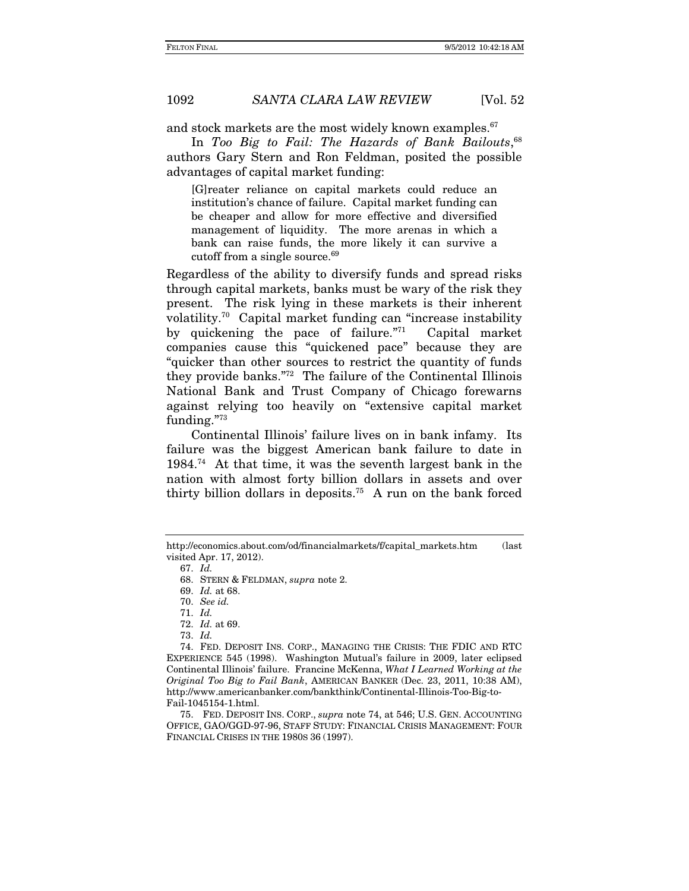and stock markets are the most widely known examples.<sup>67</sup>

In *Too Big to Fail: The Hazards of Bank Bailouts*, 68 authors Gary Stern and Ron Feldman, posited the possible advantages of capital market funding:

[G]reater reliance on capital markets could reduce an institution's chance of failure. Capital market funding can be cheaper and allow for more effective and diversified management of liquidity. The more arenas in which a bank can raise funds, the more likely it can survive a cutoff from a single source.<sup>69</sup>

Regardless of the ability to diversify funds and spread risks through capital markets, banks must be wary of the risk they present. The risk lying in these markets is their inherent volatility.70 Capital market funding can "increase instability by quickening the pace of failure."71 Capital market companies cause this "quickened pace" because they are "quicker than other sources to restrict the quantity of funds they provide banks."72 The failure of the Continental Illinois National Bank and Trust Company of Chicago forewarns against relying too heavily on "extensive capital market funding."73

 Continental Illinois' failure lives on in bank infamy. Its failure was the biggest American bank failure to date in 1984.74 At that time, it was the seventh largest bank in the nation with almost forty billion dollars in assets and over thirty billion dollars in deposits.75 A run on the bank forced

73. *Id.*

 75. FED. DEPOSIT INS. CORP., *supra* note 74, at 546; U.S. GEN. ACCOUNTING OFFICE, GAO/GGD-97-96, STAFF STUDY: FINANCIAL CRISIS MANAGEMENT: FOUR FINANCIAL CRISES IN THE 1980S 36 (1997).

http://economics.about.com/od/financialmarkets/f/capital\_markets.htm (last visited Apr. 17, 2012).

<sup>67.</sup> *Id.*

 <sup>68.</sup> STERN & FELDMAN, *supra* note 2.

<sup>69.</sup> *Id.* at 68.

<sup>70.</sup> *See id.*

<sup>71.</sup> *Id.*

<sup>72.</sup> *Id.* at 69.

 <sup>74.</sup> FED. DEPOSIT INS. CORP., MANAGING THE CRISIS: THE FDIC AND RTC EXPERIENCE 545 (1998). Washington Mutual's failure in 2009, later eclipsed Continental Illinois' failure. Francine McKenna, *What I Learned Working at the Original Too Big to Fail Bank*, AMERICAN BANKER (Dec. 23, 2011, 10:38 AM), http://www.americanbanker.com/bankthink/Continental-Illinois-Too-Big-to-Fail-1045154-1.html.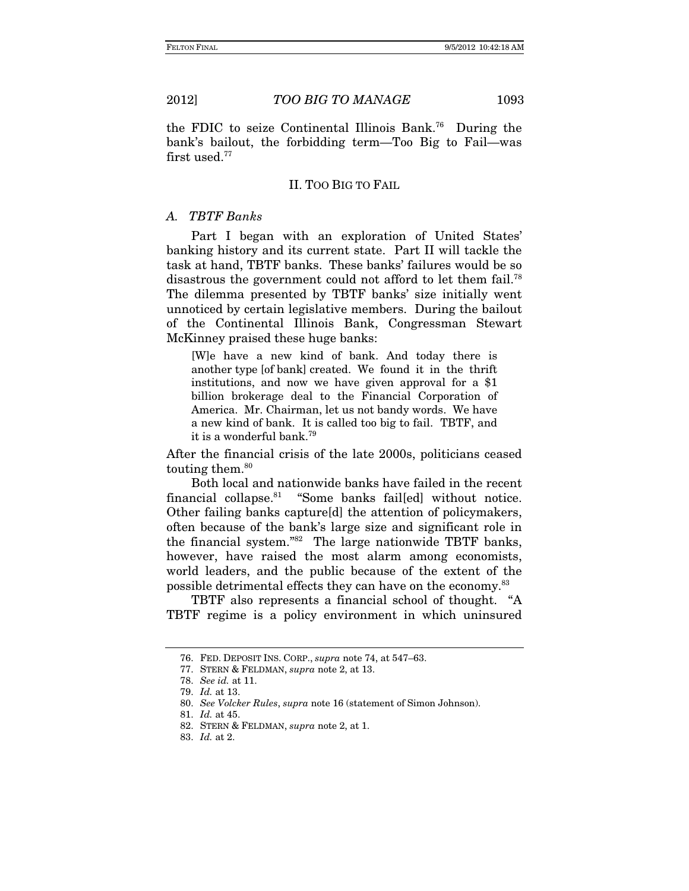the FDIC to seize Continental Illinois Bank.76 During the bank's bailout, the forbidding term—Too Big to Fail—was first used.<sup>77</sup>

# II. TOO BIG TO FAIL

# *A. TBTF Banks*

Part I began with an exploration of United States' banking history and its current state. Part II will tackle the task at hand, TBTF banks.These banks' failures would be so disastrous the government could not afford to let them fail.<sup>78</sup> The dilemma presented by TBTF banks' size initially went unnoticed by certain legislative members. During the bailout of the Continental Illinois Bank, Congressman Stewart McKinney praised these huge banks:

[W]e have a new kind of bank. And today there is another type [of bank] created. We found it in the thrift institutions, and now we have given approval for a \$1 billion brokerage deal to the Financial Corporation of America. Mr. Chairman, let us not bandy words. We have a new kind of bank. It is called too big to fail. TBTF, and it is a wonderful bank.79

After the financial crisis of the late 2000s, politicians ceased touting them.<sup>80</sup>

Both local and nationwide banks have failed in the recent financial collapse.81 "Some banks fail[ed] without notice. Other failing banks capture[d] the attention of policymakers, often because of the bank's large size and significant role in the financial system."82 The large nationwide TBTF banks, however, have raised the most alarm among economists, world leaders, and the public because of the extent of the possible detrimental effects they can have on the economy.<sup>83</sup>

TBTF also represents a financial school of thought. "A TBTF regime is a policy environment in which uninsured

 <sup>76.</sup> FED. DEPOSIT INS. CORP., *supra* note 74, at 547–63.

 <sup>77.</sup> STERN & FELDMAN, *supra* note 2, at 13.

<sup>78.</sup> *See id.* at 11.

<sup>79.</sup> *Id.* at 13.

<sup>80.</sup> *See Volcker Rules*, *supra* note 16 (statement of Simon Johnson).

 <sup>81.</sup> *Id.* at 45.

 <sup>82.</sup> STERN & FELDMAN, *supra* note 2, at 1.

<sup>83.</sup> *Id.* at 2.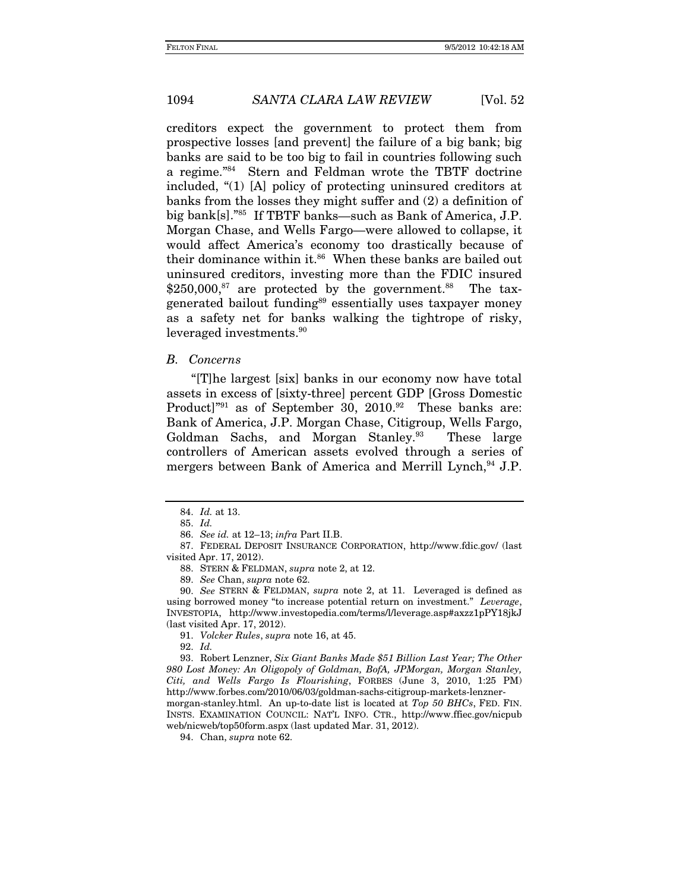creditors expect the government to protect them from prospective losses [and prevent] the failure of a big bank; big banks are said to be too big to fail in countries following such a regime."84 Stern and Feldman wrote the TBTF doctrine included, "(1) [A] policy of protecting uninsured creditors at banks from the losses they might suffer and (2) a definition of big bank[s]."85 If TBTF banks—such as Bank of America, J.P. Morgan Chase, and Wells Fargo—were allowed to collapse, it would affect America's economy too drastically because of their dominance within it.<sup>86</sup> When these banks are bailed out uninsured creditors, investing more than the FDIC insured  $$250,000\,$ <sup>87</sup> are protected by the government.<sup>88</sup> The taxgenerated bailout funding<sup>89</sup> essentially uses taxpayer money as a safety net for banks walking the tightrope of risky, leveraged investments.<sup>90</sup>

#### *B. Concerns*

"[T]he largest [six] banks in our economy now have total assets in excess of [sixty-three] percent GDP [Gross Domestic Product]"<sup>91</sup> as of September 30, 2010.<sup>92</sup> These banks are: Bank of America, J.P. Morgan Chase, Citigroup, Wells Fargo, Goldman Sachs, and Morgan Stanley.<sup>93</sup> These large controllers of American assets evolved through a series of mergers between Bank of America and Merrill Lynch,<sup>94</sup> J.P.

92. *Id.*

 93. Robert Lenzner, *Six Giant Banks Made \$51 Billion Last Year; The Other 980 Lost Money: An Oligopoly of Goldman, BofA, JPMorgan, Morgan Stanley, Citi, and Wells Fargo Is Flourishing*, FORBES (June 3, 2010, 1:25 PM) http://www.forbes.com/2010/06/03/goldman-sachs-citigroup-markets-lenzner-

morgan-stanley.html. An up-to-date list is located at *Top 50 BHCs*, FED. FIN. INSTS. EXAMINATION COUNCIL: NAT'L INFO. CTR., http://www.ffiec.gov/nicpub web/nicweb/top50form.aspx (last updated Mar. 31, 2012).

94. Chan, *supra* note 62.

<sup>84.</sup> *Id.* at 13.

<sup>85.</sup> *Id.*

<sup>86.</sup> *See id.* at 12–13; *infra* Part II.B.

 <sup>87.</sup> FEDERAL DEPOSIT INSURANCE CORPORATION, http://www.fdic.gov/ (last visited Apr. 17, 2012).

 <sup>88.</sup> STERN & FELDMAN, *supra* note 2, at 12.

<sup>89.</sup> *See* Chan, *supra* note 62.

<sup>90.</sup> *See* STERN & FELDMAN, *supra* note 2, at 11. Leveraged is defined as using borrowed money "to increase potential return on investment." *Leverage*, INVESTOPIA, http://www.investopedia.com/terms/l/leverage.asp#axzz1pPY18jkJ (last visited Apr. 17, 2012).

<sup>91.</sup> *Volcker Rules*, *supra* note 16, at 45.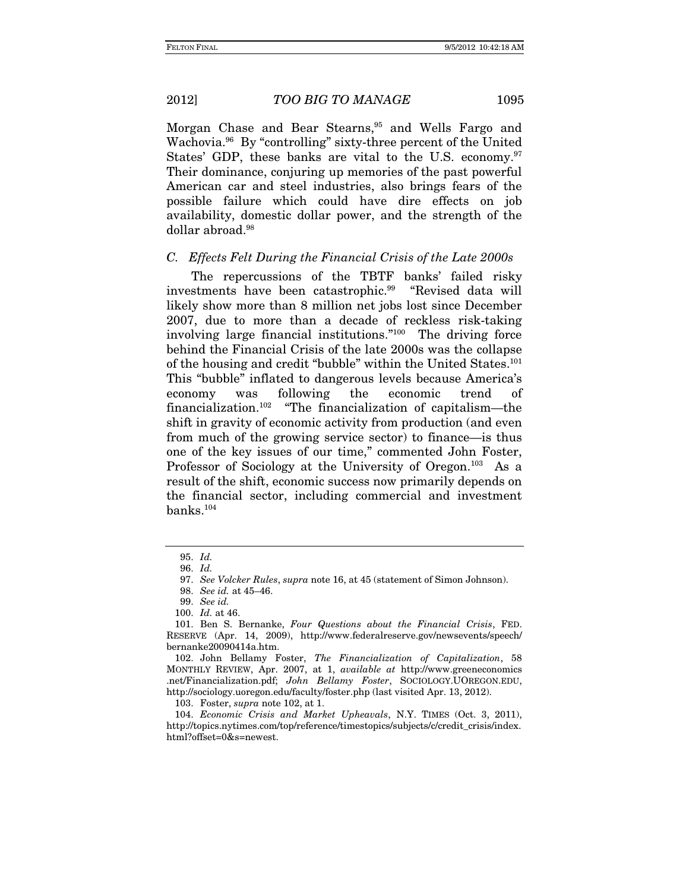Morgan Chase and Bear Stearns,<sup>95</sup> and Wells Fargo and Wachovia.96 By "controlling" sixty-three percent of the United States' GDP, these banks are vital to the U.S. economy.<sup>97</sup> Their dominance, conjuring up memories of the past powerful American car and steel industries, also brings fears of the possible failure which could have dire effects on job availability, domestic dollar power, and the strength of the dollar abroad.<sup>98</sup>

# *C. Effects Felt During the Financial Crisis of the Late 2000s*

The repercussions of the TBTF banks' failed risky investments have been catastrophic.99 "Revised data will likely show more than 8 million net jobs lost since December 2007, due to more than a decade of reckless risk-taking involving large financial institutions."100 The driving force behind the Financial Crisis of the late 2000s was the collapse of the housing and credit "bubble" within the United States.<sup>101</sup> This "bubble" inflated to dangerous levels because America's economy was following the economic trend of financialization.102 "The financialization of capitalism—the shift in gravity of economic activity from production (and even from much of the growing service sector) to finance—is thus one of the key issues of our time," commented John Foster, Professor of Sociology at the University of Oregon.<sup>103</sup> As a result of the shift, economic success now primarily depends on the financial sector, including commercial and investment banks.104

103. Foster, *supra* note 102, at 1.

 104. *Economic Crisis and Market Upheavals*, N.Y. TIMES (Oct. 3, 2011), http://topics.nytimes.com/top/reference/timestopics/subjects/c/credit\_crisis/index. html?offset=0&s=newest.

<sup>95.</sup> *Id.*

<sup>96.</sup> *Id.*

<sup>97.</sup> *See Volcker Rules*, *supra* note 16, at 45 (statement of Simon Johnson).

<sup>98.</sup> *See id.* at 45–46.

<sup>99.</sup> *See id.*

<sup>100.</sup> *Id.* at 46.

 <sup>101.</sup> Ben S. Bernanke, *Four Questions about the Financial Crisis*, FED. RESERVE (Apr. 14, 2009), http://www.federalreserve.gov/newsevents/speech/ bernanke20090414a.htm.

 <sup>102.</sup> John Bellamy Foster, *The Financialization of Capitalization*, 58 MONTHLY REVIEW, Apr. 2007, at 1, *available at* http://www.greeneconomics .net/Financialization.pdf; *John Bellamy Foster*, SOCIOLOGY.UOREGON.EDU, http://sociology.uoregon.edu/faculty/foster.php (last visited Apr. 13, 2012).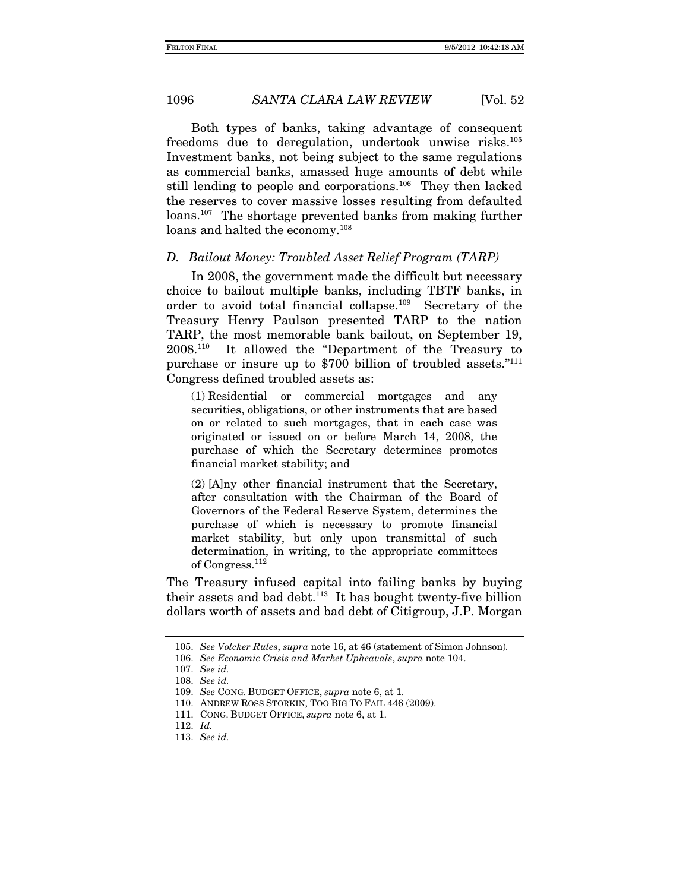Both types of banks, taking advantage of consequent freedoms due to deregulation, undertook unwise risks.105 Investment banks, not being subject to the same regulations as commercial banks, amassed huge amounts of debt while still lending to people and corporations.<sup>106</sup> They then lacked the reserves to cover massive losses resulting from defaulted loans.107 The shortage prevented banks from making further loans and halted the economy.<sup>108</sup>

### *D. Bailout Money: Troubled Asset Relief Program (TARP)*

In 2008, the government made the difficult but necessary choice to bailout multiple banks, including TBTF banks, in order to avoid total financial collapse.109 Secretary of the Treasury Henry Paulson presented TARP to the nation TARP, the most memorable bank bailout, on September 19, 2008.110 It allowed the "Department of the Treasury to purchase or insure up to \$700 billion of troubled assets."111 Congress defined troubled assets as:

(1) Residential or commercial mortgages and any securities, obligations, or other instruments that are based on or related to such mortgages, that in each case was originated or issued on or before March 14, 2008, the purchase of which the Secretary determines promotes financial market stability; and

(2) [A]ny other financial instrument that the Secretary, after consultation with the Chairman of the Board of Governors of the Federal Reserve System, determines the purchase of which is necessary to promote financial market stability, but only upon transmittal of such determination, in writing, to the appropriate committees of Congress.112

The Treasury infused capital into failing banks by buying their assets and bad debt. $113$  It has bought twenty-five billion dollars worth of assets and bad debt of Citigroup, J.P. Morgan

<sup>105.</sup> *See Volcker Rules*, *supra* note 16, at 46 (statement of Simon Johnson)*.*

<sup>106.</sup> *See Economic Crisis and Market Upheavals*, *supra* note 104.

<sup>107.</sup> *See id.*

<sup>108.</sup> *See id.*

 <sup>109.</sup> *See* CONG. BUDGET OFFICE, *supra* note 6, at 1.

 <sup>110.</sup> ANDREW ROSS STORKIN, TOO BIG TO FAIL 446 (2009).

 <sup>111.</sup> CONG. BUDGET OFFICE, *supra* note 6, at 1.

<sup>112.</sup> *Id.*

<sup>113.</sup> *See id.*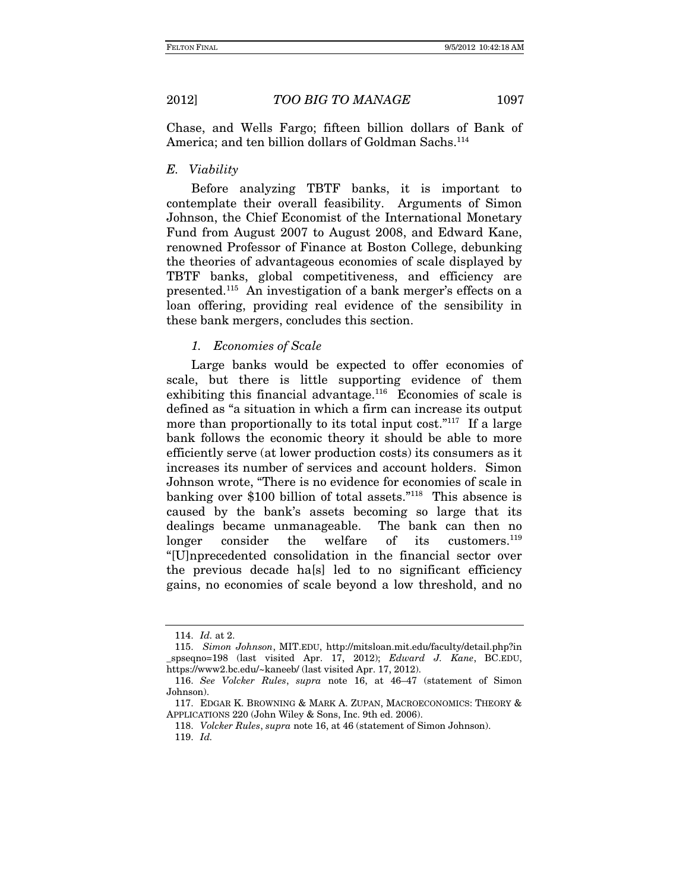Chase, and Wells Fargo; fifteen billion dollars of Bank of America; and ten billion dollars of Goldman Sachs.<sup>114</sup>

#### *E. Viability*

Before analyzing TBTF banks, it is important to contemplate their overall feasibility. Arguments of Simon Johnson, the Chief Economist of the International Monetary Fund from August 2007 to August 2008, and Edward Kane, renowned Professor of Finance at Boston College, debunking the theories of advantageous economies of scale displayed by TBTF banks, global competitiveness, and efficiency are presented.115 An investigation of a bank merger's effects on a loan offering, providing real evidence of the sensibility in these bank mergers, concludes this section.

# *1. Economies of Scale*

Large banks would be expected to offer economies of scale, but there is little supporting evidence of them exhibiting this financial advantage.<sup>116</sup> Economies of scale is defined as "a situation in which a firm can increase its output more than proportionally to its total input cost."<sup>117</sup> If a large bank follows the economic theory it should be able to more efficiently serve (at lower production costs) its consumers as it increases its number of services and account holders. Simon Johnson wrote, "There is no evidence for economies of scale in banking over \$100 billion of total assets."118 This absence is caused by the bank's assets becoming so large that its dealings became unmanageable. The bank can then no longer consider the welfare of its customers.<sup>119</sup> "[U]nprecedented consolidation in the financial sector over the previous decade ha[s] led to no significant efficiency gains, no economies of scale beyond a low threshold, and no

<sup>114.</sup> *Id.* at 2.

 <sup>115.</sup> *Simon Johnson*, MIT.EDU, http://mitsloan.mit.edu/faculty/detail.php?in \_spseqno=198 (last visited Apr. 17, 2012); *Edward J. Kane*, BC.EDU, https://www2.bc.edu/~kaneeb/ (last visited Apr. 17, 2012).

<sup>116.</sup> *See Volcker Rules*, *supra* note 16, at 46–47 (statement of Simon Johnson).

 <sup>117.</sup> EDGAR K. BROWNING & MARK A. ZUPAN, MACROECONOMICS: THEORY & APPLICATIONS 220 (John Wiley & Sons, Inc. 9th ed. 2006).

<sup>118.</sup> *Volcker Rules*, *supra* note 16, at 46 (statement of Simon Johnson).

<sup>119.</sup> *Id.*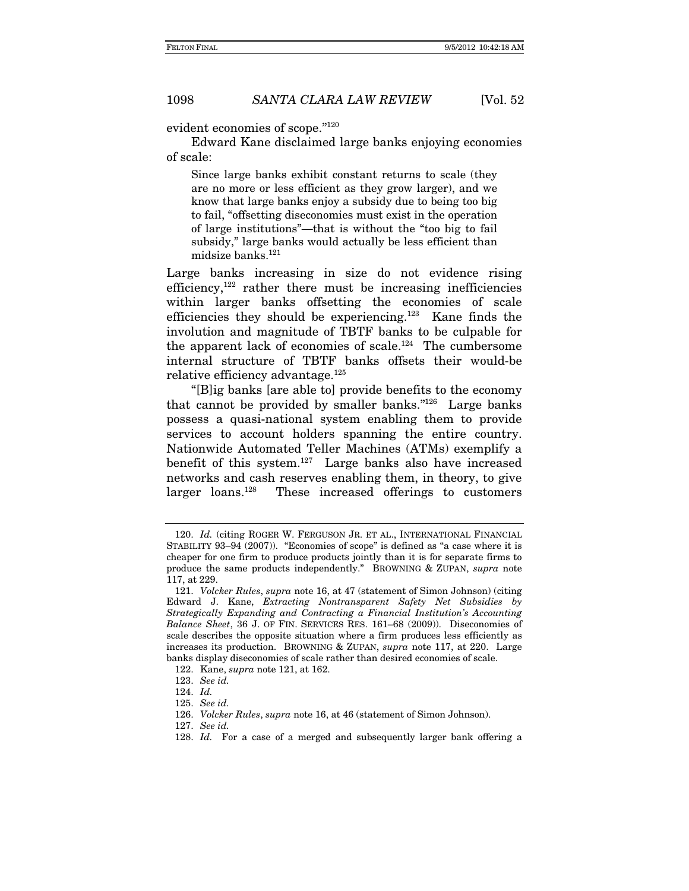evident economies of scope."120

Edward Kane disclaimed large banks enjoying economies of scale:

Since large banks exhibit constant returns to scale (they are no more or less efficient as they grow larger), and we know that large banks enjoy a subsidy due to being too big to fail, "offsetting diseconomies must exist in the operation of large institutions"—that is without the "too big to fail subsidy," large banks would actually be less efficient than midsize banks.<sup>121</sup>

Large banks increasing in size do not evidence rising efficiency,122 rather there must be increasing inefficiencies within larger banks offsetting the economies of scale efficiencies they should be experiencing.<sup>123</sup> Kane finds the involution and magnitude of TBTF banks to be culpable for the apparent lack of economies of scale.124 The cumbersome internal structure of TBTF banks offsets their would-be relative efficiency advantage.<sup>125</sup>

"[B]ig banks [are able to] provide benefits to the economy that cannot be provided by smaller banks."126 Large banks possess a quasi-national system enabling them to provide services to account holders spanning the entire country. Nationwide Automated Teller Machines (ATMs) exemplify a benefit of this system. $127$  Large banks also have increased networks and cash reserves enabling them, in theory, to give larger loans.<sup>128</sup> These increased offerings to customers These increased offerings to customers

<sup>120.</sup> *Id.* (citing ROGER W. FERGUSON JR. ET AL., INTERNATIONAL FINANCIAL STABILITY 93–94 (2007)). "Economies of scope" is defined as "a case where it is cheaper for one firm to produce products jointly than it is for separate firms to produce the same products independently." BROWNING & ZUPAN, *supra* note 117, at 229.

 <sup>121.</sup> *Volcker Rules*, *supra* note 16, at 47 (statement of Simon Johnson) (citing Edward J. Kane, *Extracting Nontransparent Safety Net Subsidies by Strategically Expanding and Contracting a Financial Institution's Accounting Balance Sheet*, 36 J. OF FIN. SERVICES RES. 161–68 (2009)). Diseconomies of scale describes the opposite situation where a firm produces less efficiently as increases its production. BROWNING & ZUPAN, *supra* note 117, at 220. Large banks display diseconomies of scale rather than desired economies of scale.

<sup>122.</sup> Kane, *supra* note 121, at 162.

<sup>123.</sup> *See id.*

<sup>124.</sup> *Id.*

 <sup>125.</sup> *See id.*

<sup>126.</sup> *Volcker Rules*, *supra* note 16, at 46 (statement of Simon Johnson).

<sup>127.</sup> *See id.*

<sup>128.</sup> Id. For a case of a merged and subsequently larger bank offering a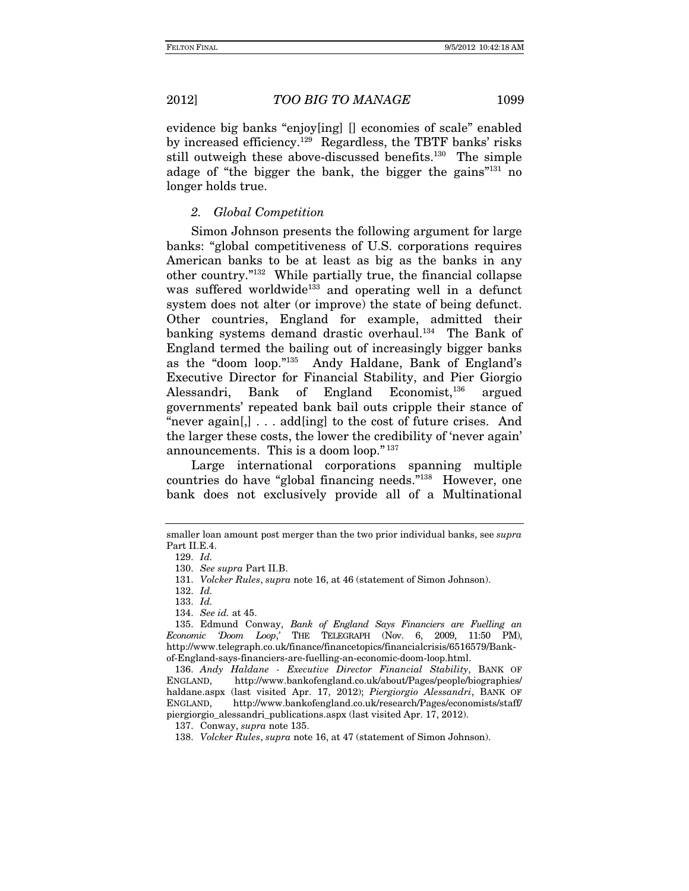evidence big banks "enjoy[ing] [] economies of scale" enabled by increased efficiency.129 Regardless, the TBTF banks' risks still outweigh these above-discussed benefits.<sup>130</sup> The simple adage of "the bigger the bank, the bigger the gains"131 no longer holds true.

# *2. Global Competition*

Simon Johnson presents the following argument for large banks: "global competitiveness of U.S. corporations requires American banks to be at least as big as the banks in any other country."132 While partially true, the financial collapse was suffered worldwide<sup>133</sup> and operating well in a defunct system does not alter (or improve) the state of being defunct. Other countries, England for example, admitted their banking systems demand drastic overhaul.<sup>134</sup> The Bank of England termed the bailing out of increasingly bigger banks as the "doom loop."135 Andy Haldane, Bank of England's Executive Director for Financial Stability, and Pier Giorgio Alessandri, Bank of England Economist,<sup>136</sup> argued governments' repeated bank bail outs cripple their stance of "never again[,] . . . add[ing] to the cost of future crises. And the larger these costs, the lower the credibility of 'never again' announcements. This is a doom loop." <sup>137</sup>

Large international corporations spanning multiple countries do have "global financing needs."138 However, one bank does not exclusively provide all of a Multinational

smaller loan amount post merger than the two prior individual banks, see *supra* Part II.E.4.

 <sup>129.</sup> *Id.*

<sup>130.</sup> *See supra* Part II.B.

<sup>131.</sup> *Volcker Rules*, *supra* note 16, at 46 (statement of Simon Johnson).

<sup>132.</sup> *Id.*

<sup>133.</sup> *Id.*

<sup>134.</sup> *See id.* at 45.

 <sup>135.</sup> Edmund Conway, *Bank of England Says Financiers are Fuelling an Economic 'Doom Loop*,*'* THE TELEGRAPH (Nov. 6, 2009, 11:50 PM), http://www.telegraph.co.uk/finance/financetopics/financialcrisis/6516579/Bankof-England-says-financiers-are-fuelling-an-economic-doom-loop.html.

 <sup>136.</sup> *Andy Haldane - Executive Director Financial Stability*, BANK OF ENGLAND, http://www.bankofengland.co.uk/about/Pages/people/biographies/ haldane.aspx (last visited Apr. 17, 2012); *Piergiorgio Alessandri*, BANK OF ENGLAND, http://www.bankofengland.co.uk/research/Pages/economists/staff/ piergiorgio\_alessandri\_publications.aspx (last visited Apr. 17, 2012).

 <sup>137.</sup> Conway, *supra* note 135.

<sup>138.</sup> *Volcker Rules*, *supra* note 16, at 47 (statement of Simon Johnson).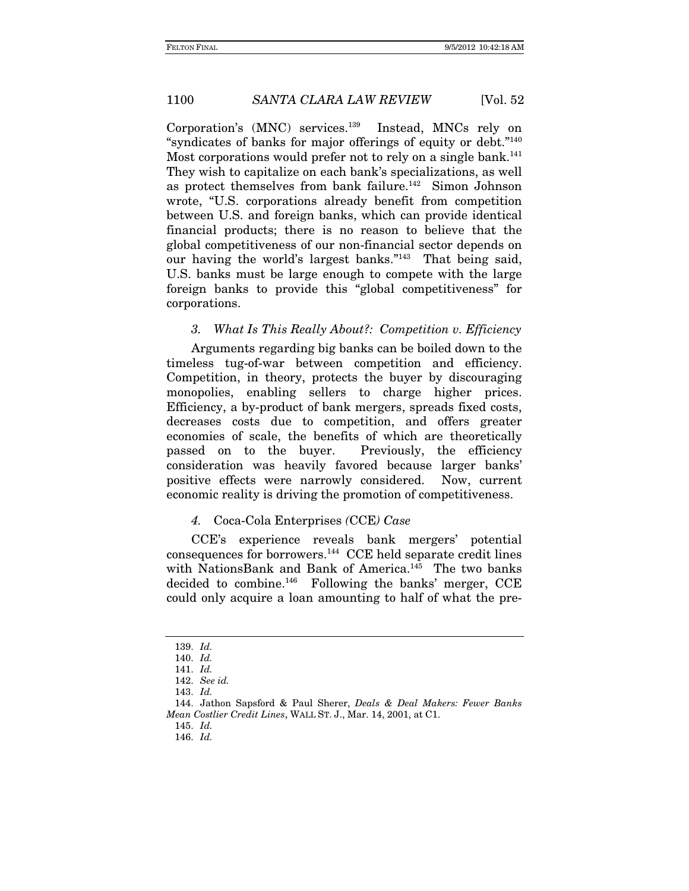Corporation's (MNC) services.139 Instead, MNCs rely on "syndicates of banks for major offerings of equity or debt."<sup>140</sup> Most corporations would prefer not to rely on a single bank.<sup>141</sup> They wish to capitalize on each bank's specializations, as well as protect themselves from bank failure.<sup>142</sup> Simon Johnson wrote, "U.S. corporations already benefit from competition between U.S. and foreign banks, which can provide identical financial products; there is no reason to believe that the global competitiveness of our non-financial sector depends on our having the world's largest banks."143 That being said, U.S. banks must be large enough to compete with the large foreign banks to provide this "global competitiveness" for corporations.

# *3. What Is This Really About?: Competition v. Efficiency*

Arguments regarding big banks can be boiled down to the timeless tug-of-war between competition and efficiency. Competition, in theory, protects the buyer by discouraging monopolies, enabling sellers to charge higher prices. Efficiency, a by-product of bank mergers, spreads fixed costs, decreases costs due to competition, and offers greater economies of scale, the benefits of which are theoretically passed on to the buyer. Previously, the efficiency consideration was heavily favored because larger banks' positive effects were narrowly considered. Now, current economic reality is driving the promotion of competitiveness.

### *4.* Coca-Cola Enterprises *(*CCE*) Case*

CCE's experience reveals bank mergers' potential consequences for borrowers.144 CCE held separate credit lines with NationsBank and Bank of America.145 The two banks decided to combine.<sup>146</sup> Following the banks' merger,  $CCE$ could only acquire a loan amounting to half of what the pre-

<sup>139.</sup> *Id.* 

<sup>140.</sup> *Id.*

<sup>141.</sup> *Id.*

<sup>142.</sup> *See id.*

<sup>143.</sup> *Id.*

 <sup>144.</sup> Jathon Sapsford & Paul Sherer, *Deals & Deal Makers: Fewer Banks Mean Costlier Credit Lines*, WALL ST. J., Mar. 14, 2001, at C1.

 <sup>145.</sup> *Id.*

 <sup>146.</sup> *Id.*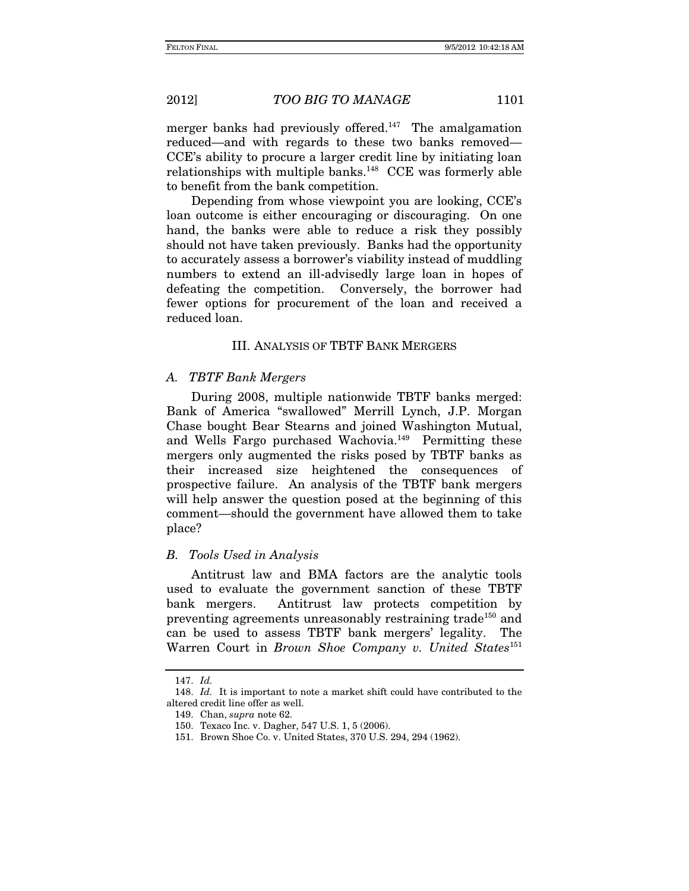merger banks had previously offered.<sup>147</sup> The amalgamation reduced—and with regards to these two banks removed— CCE's ability to procure a larger credit line by initiating loan relationships with multiple banks.148 CCE was formerly able to benefit from the bank competition.

Depending from whose viewpoint you are looking, CCE's loan outcome is either encouraging or discouraging. On one hand, the banks were able to reduce a risk they possibly should not have taken previously. Banks had the opportunity to accurately assess a borrower's viability instead of muddling numbers to extend an ill-advisedly large loan in hopes of defeating the competition. Conversely, the borrower had fewer options for procurement of the loan and received a reduced loan.

# III. ANALYSIS OF TBTF BANK MERGERS

### *A. TBTF Bank Mergers*

During 2008, multiple nationwide TBTF banks merged: Bank of America "swallowed" Merrill Lynch, J.P. Morgan Chase bought Bear Stearns and joined Washington Mutual, and Wells Fargo purchased Wachovia.149 Permitting these mergers only augmented the risks posed by TBTF banks as their increased size heightened the consequences of prospective failure. An analysis of the TBTF bank mergers will help answer the question posed at the beginning of this comment—should the government have allowed them to take place?

### *B. Tools Used in Analysis*

Antitrust law and BMA factors are the analytic tools used to evaluate the government sanction of these TBTF bank mergers. Antitrust law protects competition by preventing agreements unreasonably restraining trade<sup>150</sup> and can be used to assess TBTF bank mergers' legality. The Warren Court in *Brown Shoe Company v. United States*<sup>151</sup>

<sup>147.</sup> *Id.*

<sup>148.</sup> *Id.* It is important to note a market shift could have contributed to the altered credit line offer as well.

<sup>149.</sup> Chan, *supra* note 62.

 <sup>150.</sup> Texaco Inc. v. Dagher, 547 U.S. 1, 5 (2006).

 <sup>151.</sup> Brown Shoe Co. v. United States, 370 U.S. 294, 294 (1962).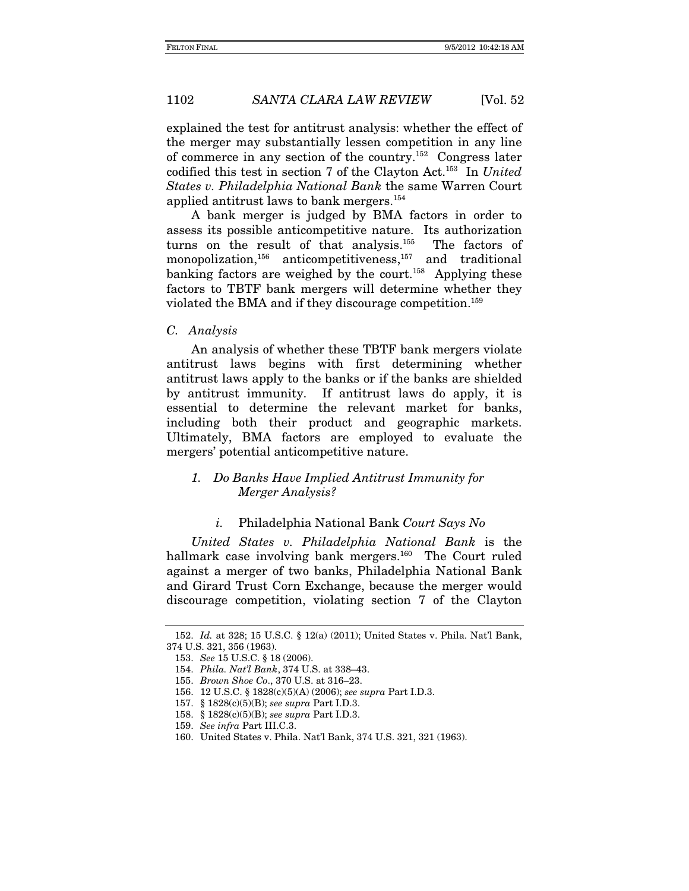explained the test for antitrust analysis: whether the effect of the merger may substantially lessen competition in any line of commerce in any section of the country.152 Congress later codified this test in section 7 of the Clayton Act.153 In *United States v. Philadelphia National Bank* the same Warren Court applied antitrust laws to bank mergers.154

A bank merger is judged by BMA factors in order to assess its possible anticompetitive nature. Its authorization turns on the result of that analysis.155 The factors of monopolization,<sup>156</sup> anticompetitiveness,<sup>157</sup> and traditional banking factors are weighed by the court.<sup>158</sup> Applying these factors to TBTF bank mergers will determine whether they violated the BMA and if they discourage competition.159

#### *C. Analysis*

An analysis of whether these TBTF bank mergers violate antitrust laws begins with first determining whether antitrust laws apply to the banks or if the banks are shielded by antitrust immunity. If antitrust laws do apply, it is essential to determine the relevant market for banks, including both their product and geographic markets. Ultimately, BMA factors are employed to evaluate the mergers' potential anticompetitive nature.

# *1. Do Banks Have Implied Antitrust Immunity for Merger Analysis?*

# *i.* Philadelphia National Bank *Court Says No*

*United States v. Philadelphia National Bank* is the hallmark case involving bank mergers.<sup>160</sup> The Court ruled against a merger of two banks, Philadelphia National Bank and Girard Trust Corn Exchange, because the merger would discourage competition, violating section 7 of the Clayton

<sup>152.</sup> *Id.* at 328; 15 U.S.C. § 12(a) (2011); United States v. Phila. Nat'l Bank, 374 U.S. 321, 356 (1963).

 <sup>153.</sup> *See* 15 U.S.C. § 18 (2006).

 <sup>154.</sup> *Phila. Nat'l Bank*, 374 U.S. at 338–43.

<sup>155.</sup> *Brown Shoe Co*., 370 U.S. at 316–23.

 <sup>156. 12</sup> U.S.C. § 1828(c)(5)(A) (2006); *see supra* Part I.D.3.

 <sup>157. § 1828(</sup>c)(5)(B); *see supra* Part I.D.3.

 <sup>158. § 1828(</sup>c)(5)(B); *see supra* Part I.D.3.

<sup>159.</sup> *See infra* Part III.C.3.

 <sup>160.</sup> United States v. Phila. Nat'l Bank, 374 U.S. 321, 321 (1963).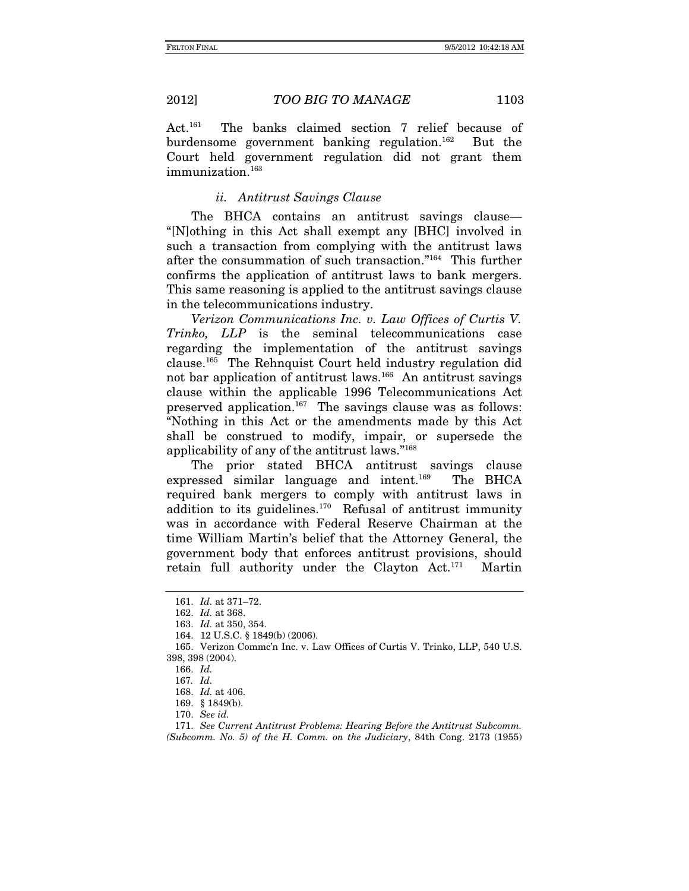Act.161 The banks claimed section 7 relief because of burdensome government banking regulation.<sup>162</sup> But the Court held government regulation did not grant them immunization.<sup>163</sup>

### *ii. Antitrust Savings Clause*

The BHCA contains an antitrust savings clause— "[N]othing in this Act shall exempt any [BHC] involved in such a transaction from complying with the antitrust laws after the consummation of such transaction."164 This further confirms the application of antitrust laws to bank mergers. This same reasoning is applied to the antitrust savings clause in the telecommunications industry.

*Verizon Communications Inc. v. Law Offices of Curtis V. Trinko, LLP* is the seminal telecommunications case regarding the implementation of the antitrust savings clause.165 The Rehnquist Court held industry regulation did not bar application of antitrust laws.<sup>166</sup> An antitrust savings clause within the applicable 1996 Telecommunications Act preserved application.167 The savings clause was as follows: "Nothing in this Act or the amendments made by this Act shall be construed to modify, impair, or supersede the applicability of any of the antitrust laws."168

The prior stated BHCA antitrust savings clause expressed similar language and intent.<sup>169</sup> The BHCA required bank mergers to comply with antitrust laws in addition to its guidelines.<sup>170</sup> Refusal of antitrust immunity was in accordance with Federal Reserve Chairman at the time William Martin's belief that the Attorney General, the government body that enforces antitrust provisions, should retain full authority under the Clayton Act.171 Martin

<sup>161.</sup> *Id.* at 371–72.

<sup>162.</sup> *Id.* at 368.

<sup>163.</sup> *Id.* at 350, 354.

 <sup>164. 12</sup> U.S.C. § 1849(b) (2006).

 <sup>165.</sup> Verizon Commc'n Inc. v. Law Offices of Curtis V. Trinko, LLP, 540 U.S. 398, 398 (2004).

 <sup>166.</sup> *Id.*

<sup>167</sup>*. Id.*

<sup>168.</sup> *Id.* at 406.

<sup>169.</sup> § 1849(b).

<sup>170.</sup> *See id.* 

<sup>171.</sup> *See Current Antitrust Problems: Hearing Before the Antitrust Subcomm. (Subcomm. No. 5) of the H. Comm. on the Judiciary*, 84th Cong. 2173 (1955)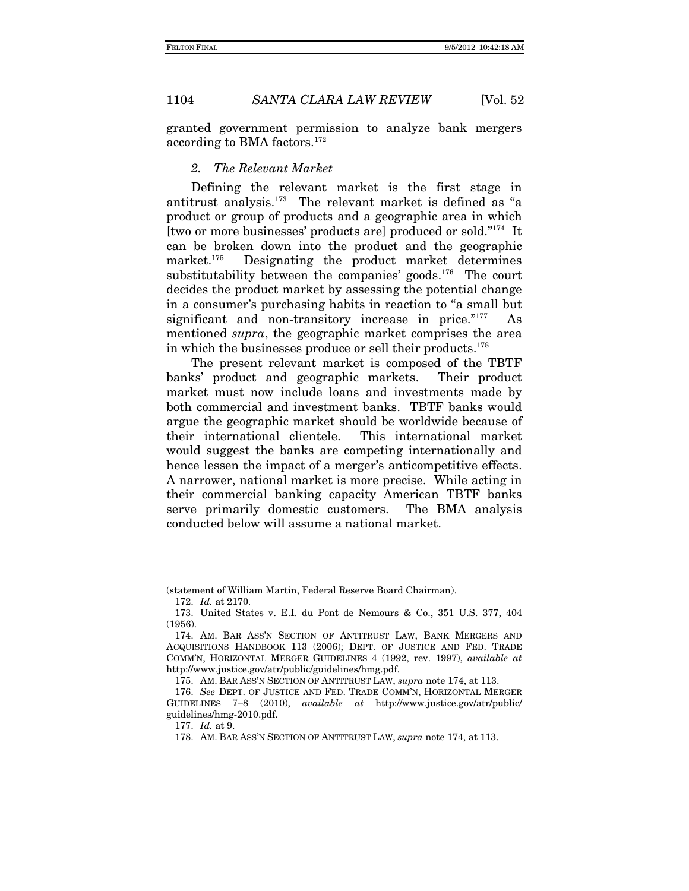granted government permission to analyze bank mergers according to BMA factors.172

#### *2. The Relevant Market*

Defining the relevant market is the first stage in antitrust analysis.173 The relevant market is defined as "a product or group of products and a geographic area in which [two or more businesses' products are] produced or sold."174 It can be broken down into the product and the geographic market.175 Designating the product market determines substitutability between the companies' goods.<sup>176</sup> The court decides the product market by assessing the potential change in a consumer's purchasing habits in reaction to "a small but significant and non-transitory increase in price."<sup>177</sup> As mentioned *supra*, the geographic market comprises the area in which the businesses produce or sell their products.178

The present relevant market is composed of the TBTF banks' product and geographic markets. Their product market must now include loans and investments made by both commercial and investment banks. TBTF banks would argue the geographic market should be worldwide because of their international clientele. This international market would suggest the banks are competing internationally and hence lessen the impact of a merger's anticompetitive effects. A narrower, national market is more precise. While acting in their commercial banking capacity American TBTF banks serve primarily domestic customers. The BMA analysis conducted below will assume a national market.

<sup>(</sup>statement of William Martin, Federal Reserve Board Chairman).

<sup>172.</sup> *Id.* at 2170.

 <sup>173.</sup> United States v. E.I. du Pont de Nemours & Co., 351 U.S. 377, 404 (1956).

 <sup>174.</sup> AM. BAR ASS'N SECTION OF ANTITRUST LAW, BANK MERGERS AND ACQUISITIONS HANDBOOK 113 (2006); DEPT. OF JUSTICE AND FED. TRADE COMM'N, HORIZONTAL MERGER GUIDELINES 4 (1992, rev. 1997), *available at* http://www.justice.gov/atr/public/guidelines/hmg.pdf.

<sup>175.</sup> AM. BAR ASS'N SECTION OF ANTITRUST LAW, *supra* note 174, at 113.

<sup>176.</sup> *See* DEPT. OF JUSTICE AND FED. TRADE COMM'N, HORIZONTAL MERGER GUIDELINES 7–8 (2010), *available at* http://www.justice.gov/atr/public/ guidelines/hmg-2010.pdf.

<sup>177.</sup> *Id.* at 9.

<sup>178.</sup> AM. BAR ASS'N SECTION OF ANTITRUST LAW, *supra* note 174, at 113.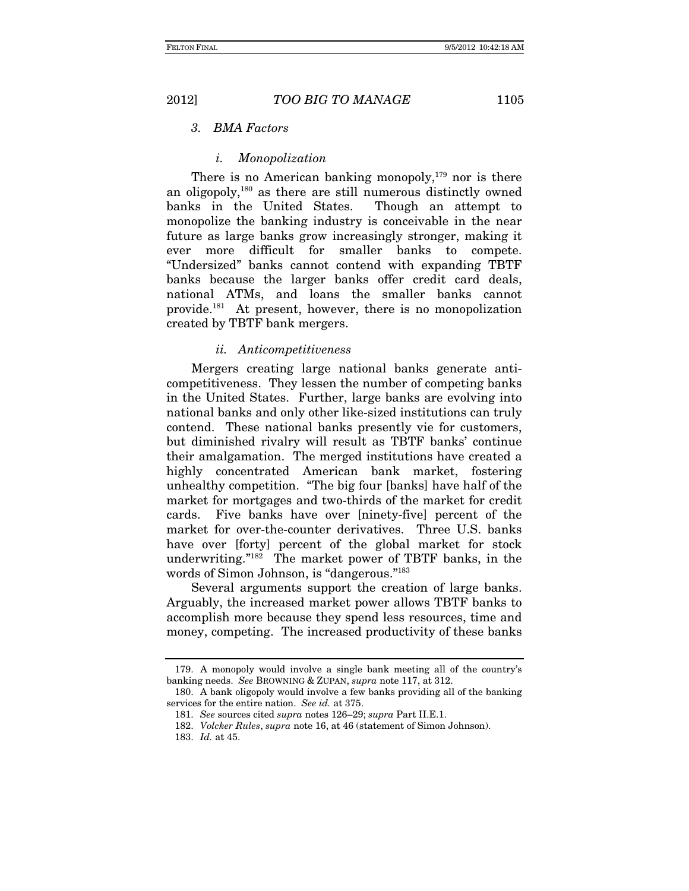# *3. BMA Factors*

### *i. Monopolization*

There is no American banking monopoly, $179$  nor is there an oligopoly,180 as there are still numerous distinctly owned banks in the United States. Though an attempt to monopolize the banking industry is conceivable in the near future as large banks grow increasingly stronger, making it ever more difficult for smaller banks to compete. "Undersized" banks cannot contend with expanding TBTF banks because the larger banks offer credit card deals, national ATMs, and loans the smaller banks cannot provide.181 At present, however, there is no monopolization created by TBTF bank mergers.

#### *ii. Anticompetitiveness*

Mergers creating large national banks generate anticompetitiveness. They lessen the number of competing banks in the United States. Further, large banks are evolving into national banks and only other like-sized institutions can truly contend. These national banks presently vie for customers, but diminished rivalry will result as TBTF banks' continue their amalgamation. The merged institutions have created a highly concentrated American bank market, fostering unhealthy competition. "The big four [banks] have half of the market for mortgages and two-thirds of the market for credit cards. Five banks have over [ninety-five] percent of the market for over-the-counter derivatives. Three U.S. banks have over [forty] percent of the global market for stock underwriting."182 The market power of TBTF banks, in the words of Simon Johnson, is "dangerous."<sup>183</sup>

Several arguments support the creation of large banks. Arguably, the increased market power allows TBTF banks to accomplish more because they spend less resources, time and money, competing. The increased productivity of these banks

 <sup>179.</sup> A monopoly would involve a single bank meeting all of the country's banking needs. *See* BROWNING & ZUPAN, *supra* note 117, at 312.

 <sup>180.</sup> A bank oligopoly would involve a few banks providing all of the banking services for the entire nation. *See id.* at 375.

 <sup>181.</sup> *See* sources cited *supra* notes 126–29; *supra* Part II.E.1.

<sup>182.</sup> *Volcker Rules*, *supra* note 16, at 46 (statement of Simon Johnson).

<sup>183.</sup> *Id.* at 45.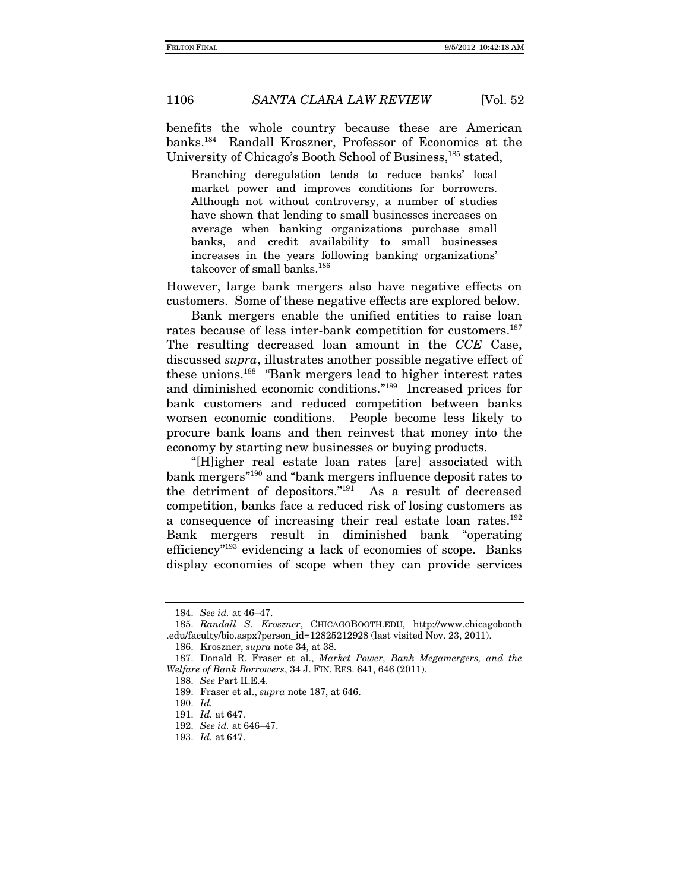benefits the whole country because these are American banks.184 Randall Kroszner, Professor of Economics at the University of Chicago's Booth School of Business,<sup>185</sup> stated,

Branching deregulation tends to reduce banks' local market power and improves conditions for borrowers. Although not without controversy, a number of studies have shown that lending to small businesses increases on average when banking organizations purchase small banks, and credit availability to small businesses increases in the years following banking organizations' takeover of small banks.<sup>186</sup>

However, large bank mergers also have negative effects on customers. Some of these negative effects are explored below.

 Bank mergers enable the unified entities to raise loan rates because of less inter-bank competition for customers.<sup>187</sup> The resulting decreased loan amount in the *CCE* Case, discussed *supra*, illustrates another possible negative effect of these unions.188 "Bank mergers lead to higher interest rates and diminished economic conditions."189 Increased prices for bank customers and reduced competition between banks worsen economic conditions. People become less likely to procure bank loans and then reinvest that money into the economy by starting new businesses or buying products.

"[H]igher real estate loan rates [are] associated with bank mergers"190 and "bank mergers influence deposit rates to the detriment of depositors."191 As a result of decreased competition, banks face a reduced risk of losing customers as a consequence of increasing their real estate loan rates.192 Bank mergers result in diminished bank "operating efficiency"193 evidencing a lack of economies of scope. Banks display economies of scope when they can provide services

<sup>184.</sup> *See id.* at 46–47.

 <sup>185.</sup> *Randall S. Kroszner*, CHICAGOBOOTH.EDU, http://www.chicagobooth .edu/faculty/bio.aspx?person\_id=12825212928 (last visited Nov. 23, 2011).

<sup>186.</sup> Kroszner, *supra* note 34, at 38.

 <sup>187.</sup> Donald R. Fraser et al., *Market Power, Bank Megamergers, and the Welfare of Bank Borrowers*, 34 J. FIN. RES. 641, 646 (2011).

 <sup>188.</sup> *See* Part II.E.4.

<sup>189.</sup> Fraser et al., *supra* note 187, at 646.

<sup>190.</sup> *Id.*

<sup>191.</sup> *Id.* at 647.

<sup>192.</sup> *See id.* at 646–47.

<sup>193.</sup> *Id.* at 647.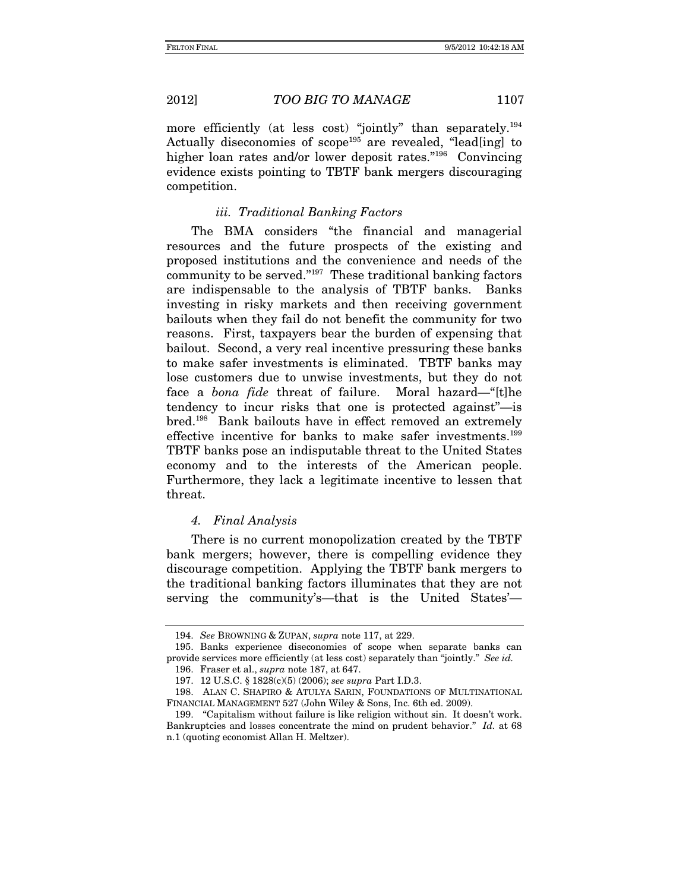more efficiently (at less cost) "jointly" than separately.<sup>194</sup> Actually diseconomies of scope<sup>195</sup> are revealed, "lead[ing] to higher loan rates and/or lower deposit rates."196 Convincing evidence exists pointing to TBTF bank mergers discouraging competition.

# *iii. Traditional Banking Factors*

The BMA considers "the financial and managerial resources and the future prospects of the existing and proposed institutions and the convenience and needs of the community to be served."197 These traditional banking factors are indispensable to the analysis of TBTF banks. Banks investing in risky markets and then receiving government bailouts when they fail do not benefit the community for two reasons. First, taxpayers bear the burden of expensing that bailout. Second, a very real incentive pressuring these banks to make safer investments is eliminated. TBTF banks may lose customers due to unwise investments, but they do not face a *bona fide* threat of failure. Moral hazard—"[t]he tendency to incur risks that one is protected against"—is bred.198 Bank bailouts have in effect removed an extremely effective incentive for banks to make safer investments.199 TBTF banks pose an indisputable threat to the United States economy and to the interests of the American people. Furthermore, they lack a legitimate incentive to lessen that threat.

### *4. Final Analysis*

There is no current monopolization created by the TBTF bank mergers; however, there is compelling evidence they discourage competition. Applying the TBTF bank mergers to the traditional banking factors illuminates that they are not serving the community's—that is the United States'—

 <sup>194.</sup> *See* BROWNING & ZUPAN, *supra* note 117, at 229.

 <sup>195.</sup> Banks experience diseconomies of scope when separate banks can provide services more efficiently (at less cost) separately than "jointly." *See id.*

<sup>196.</sup> Fraser et al., *supra* note 187, at 647.

 <sup>197. 12</sup> U.S.C. § 1828(c)(5) (2006); *see supra* Part I.D.3.

 <sup>198.</sup> ALAN C. SHAPIRO & ATULYA SARIN, FOUNDATIONS OF MULTINATIONAL FINANCIAL MANAGEMENT 527 (John Wiley & Sons, Inc. 6th ed. 2009).

 <sup>199. &</sup>quot;Capitalism without failure is like religion without sin. It doesn't work. Bankruptcies and losses concentrate the mind on prudent behavior." *Id.* at 68 n.1 (quoting economist Allan H. Meltzer).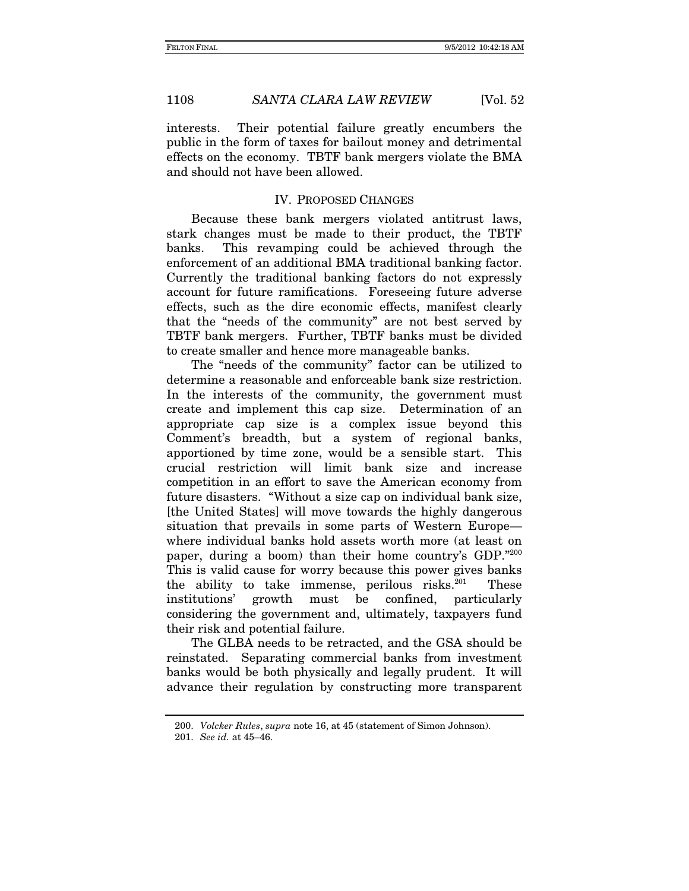interests. Their potential failure greatly encumbers the public in the form of taxes for bailout money and detrimental effects on the economy. TBTF bank mergers violate the BMA and should not have been allowed.

# IV. PROPOSED CHANGES

Because these bank mergers violated antitrust laws, stark changes must be made to their product, the TBTF banks. This revamping could be achieved through the enforcement of an additional BMA traditional banking factor. Currently the traditional banking factors do not expressly account for future ramifications. Foreseeing future adverse effects, such as the dire economic effects, manifest clearly that the "needs of the community" are not best served by TBTF bank mergers. Further, TBTF banks must be divided to create smaller and hence more manageable banks.

The "needs of the community" factor can be utilized to determine a reasonable and enforceable bank size restriction. In the interests of the community, the government must create and implement this cap size. Determination of an appropriate cap size is a complex issue beyond this Comment's breadth, but a system of regional banks, apportioned by time zone, would be a sensible start. This crucial restriction will limit bank size and increase competition in an effort to save the American economy from future disasters. "Without a size cap on individual bank size, [the United States] will move towards the highly dangerous situation that prevails in some parts of Western Europe where individual banks hold assets worth more (at least on paper, during a boom) than their home country's GDP."200 This is valid cause for worry because this power gives banks the ability to take immense, perilous risks. $201$  These institutions' growth must be confined, particularly considering the government and, ultimately, taxpayers fund their risk and potential failure.

The GLBA needs to be retracted, and the GSA should be reinstated. Separating commercial banks from investment banks would be both physically and legally prudent. It will advance their regulation by constructing more transparent

<sup>200.</sup> *Volcker Rules*, *supra* note 16, at 45 (statement of Simon Johnson).

<sup>201.</sup> *See id.* at 45–46.